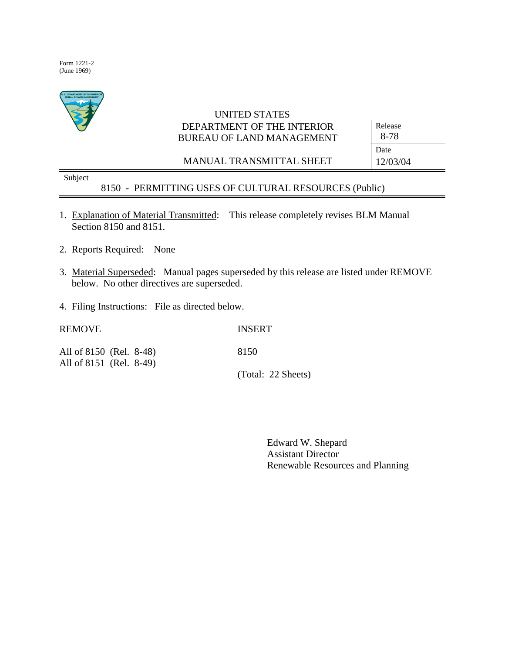Form 1221-2 (June 1969)



# UNITED STATES DEPARTMENT OF THE INTERIOR BUREAU OF LAND MANAGEMENT

MANUAL TRANSMITTAL SHEET

Release 8-78 Date 12/03/04

Subject

8150 - PERMITTING USES OF CULTURAL RESOURCES (Public)

- 1. Explanation of Material Transmitted: This release completely revises BLM Manual Section 8150 and 8151.
- 2. Reports Required: None
- 3. Material Superseded: Manual pages superseded by this release are listed under REMOVE below. No other directives are superseded.
- 4. Filing Instructions: File as directed below.

| <b>REMOVE</b>           | <b>INSERT</b>      |
|-------------------------|--------------------|
| All of 8150 (Rel. 8-48) | 8150               |
| All of 8151 (Rel. 8-49) | (Total: 22 Sheets) |

Edward W. Shepard Assistant Director Renewable Resources and Planning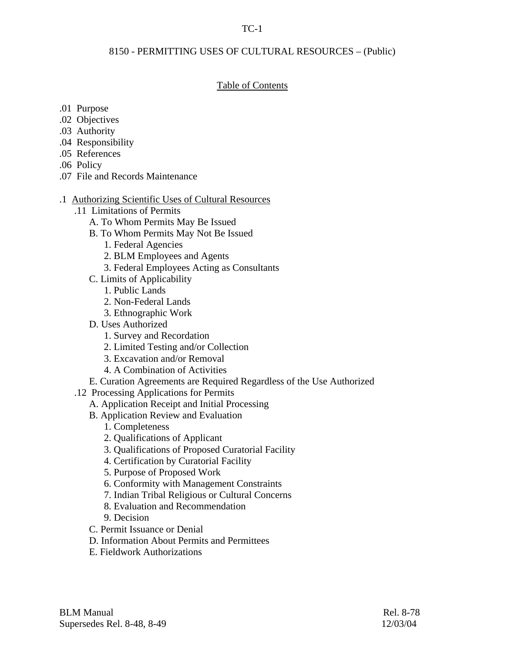# TC-1

## 8150 - PERMITTING USES OF CULTURAL RESOURCES – (Public)

# Table of Contents

- .01 Purpose
- .02 Objectives
- .03 Authority
- .04 Responsibility
- .05 References
- .06 Policy
- .07 File and Records Maintenance
- .1 Authorizing Scientific Uses of Cultural Resources
	- .11 Limitations of Permits
		- A. To Whom Permits May Be Issued
		- B. To Whom Permits May Not Be Issued
			- 1. Federal Agencies
			- 2. BLM Employees and Agents
			- 3. Federal Employees Acting as Consultants
		- C. Limits of Applicability
			- 1. Public Lands
			- 2. Non-Federal Lands
			- 3. Ethnographic Work
		- D. Uses Authorized
			- 1. Survey and Recordation
			- 2. Limited Testing and/or Collection
			- 3. Excavation and/or Removal
			- 4. A Combination of Activities
		- E. Curation Agreements are Required Regardless of the Use Authorized
	- .12 Processing Applications for Permits
		- A. Application Receipt and Initial Processing
		- B. Application Review and Evaluation
			- 1. Completeness
			- 2. Qualifications of Applicant
			- 3. Qualifications of Proposed Curatorial Facility
			- 4. Certification by Curatorial Facility
			- 5. Purpose of Proposed Work
			- 6. Conformity with Management Constraints
			- 7. Indian Tribal Religious or Cultural Concerns
			- 8. Evaluation and Recommendation
			- 9. Decision
		- C. Permit Issuance or Denial
		- D. Information About Permits and Permittees
		- E. Fieldwork Authorizations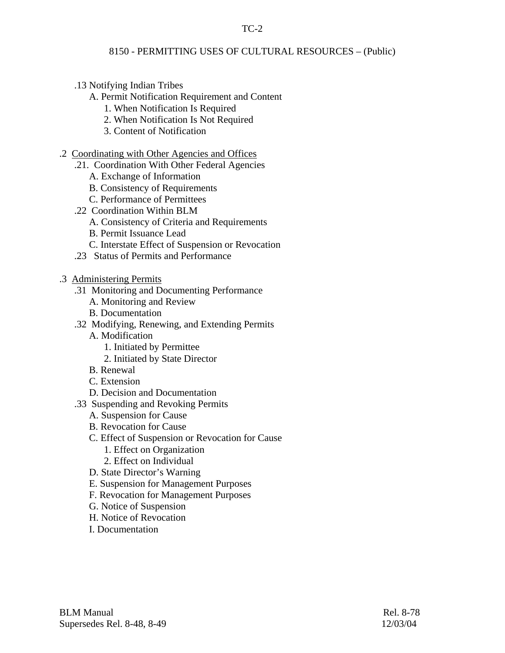# TC-2

# 8150 - PERMITTING USES OF CULTURAL RESOURCES – (Public)

- .13 Notifying Indian Tribes
	- A. Permit Notification Requirement and Content
		- 1. When Notification Is Required
		- 2. When Notification Is Not Required
		- 3. Content of Notification
- .2 Coordinating with Other Agencies and Offices
	- .21. Coordination With Other Federal Agencies
		- A. Exchange of Information
		- B. Consistency of Requirements
		- C. Performance of Permittees
	- .22 Coordination Within BLM
		- A. Consistency of Criteria and Requirements
		- B. Permit Issuance Lead
		- C. Interstate Effect of Suspension or Revocation
	- .23 Status of Permits and Performance
- .3 Administering Permits
	- .31 Monitoring and Documenting Performance
		- A. Monitoring and Review
		- B. Documentation
	- .32 Modifying, Renewing, and Extending Permits
		- A. Modification
			- 1. Initiated by Permittee
			- 2. Initiated by State Director
		- B. Renewal
		- C. Extension
		- D. Decision and Documentation
	- .33 Suspending and Revoking Permits
		- A. Suspension for Cause
		- B. Revocation for Cause
		- C. Effect of Suspension or Revocation for Cause
			- 1. Effect on Organization
			- 2. Effect on Individual
		- D. State Director's Warning
		- E. Suspension for Management Purposes
		- F. Revocation for Management Purposes
		- G. Notice of Suspension
		- H. Notice of Revocation
		- I. Documentation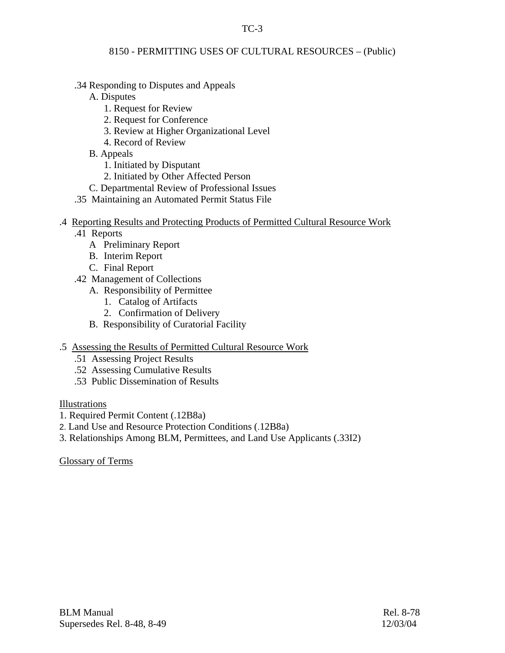# TC-3

# 8150 - PERMITTING USES OF CULTURAL RESOURCES – (Public)

- .34 Responding to Disputes and Appeals
	- A. Disputes
		- 1. Request for Review
		- 2. Request for Conference
		- 3. Review at Higher Organizational Level
		- 4. Record of Review
	- B. Appeals
		- 1. Initiated by Disputant
		- 2. Initiated by Other Affected Person
	- C. Departmental Review of Professional Issues
- .35 Maintaining an Automated Permit Status File

# .4 Reporting Results and Protecting Products of Permitted Cultural Resource Work

- .41 Reports
	- A Preliminary Report
	- B. Interim Report
	- C. Final Report
- .42 Management of Collections
	- A. Responsibility of Permittee
		- 1. Catalog of Artifacts
		- 2. Confirmation of Delivery
	- B. Responsibility of Curatorial Facility
- .5 Assessing the Results of Permitted Cultural Resource Work
	- .51 Assessing Project Results
	- .52 Assessing Cumulative Results
	- .53 Public Dissemination of Results

# Illustrations

- 1. Required Permit Content (.12B8a)
- 2. Land Use and Resource Protection Conditions (.12B8a)
- 3. Relationships Among BLM, Permittees, and Land Use Applicants (.33I2)

Glossary of Terms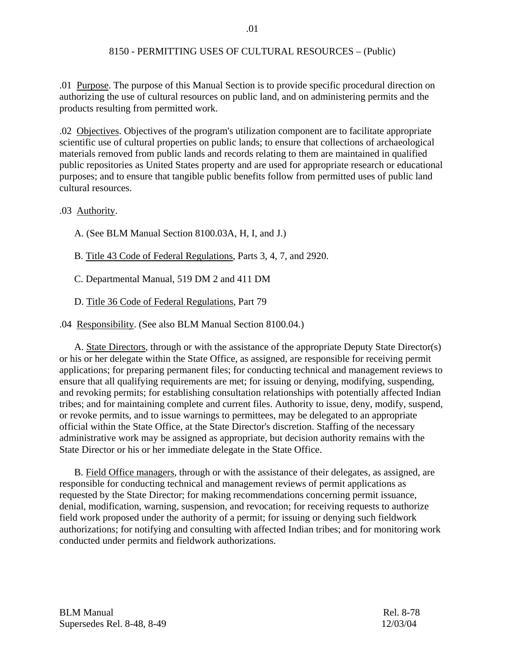.01 Purpose. The purpose of this Manual Section is to provide specific procedural direction on authorizing the use of cultural resources on public land, and on administering permits and the products resulting from permitted work.

.02 Objectives. Objectives of the program's utilization component are to facilitate appropriate scientific use of cultural properties on public lands; to ensure that collections of archaeological materials removed from public lands and records relating to them are maintained in qualified public repositories as United States property and are used for appropriate research or educational purposes; and to ensure that tangible public benefits follow from permitted uses of public land cultural resources.

.03 Authority.

A. (See BLM Manual Section 8100.03A, H, I, and J.)

B. Title 43 Code of Federal Regulations, Parts 3, 4, 7, and 2920.

C. Departmental Manual, 519 DM 2 and 411 DM

D. Title 36 Code of Federal Regulations, Part 79

.04 Responsibility. (See also BLM Manual Section 8100.04.)

 A. State Directors, through or with the assistance of the appropriate Deputy State Director(s) or his or her delegate within the State Office, as assigned, are responsible for receiving permit applications; for preparing permanent files; for conducting technical and management reviews to ensure that all qualifying requirements are met; for issuing or denying, modifying, suspending, and revoking permits; for establishing consultation relationships with potentially affected Indian tribes; and for maintaining complete and current files. Authority to issue, deny, modify, suspend, or revoke permits, and to issue warnings to permittees, may be delegated to an appropriate official within the State Office, at the State Director's discretion. Staffing of the necessary administrative work may be assigned as appropriate, but decision authority remains with the State Director or his or her immediate delegate in the State Office.

 B. Field Office managers, through or with the assistance of their delegates, as assigned, are responsible for conducting technical and management reviews of permit applications as requested by the State Director; for making recommendations concerning permit issuance, denial, modification, warning, suspension, and revocation; for receiving requests to authorize field work proposed under the authority of a permit; for issuing or denying such fieldwork authorizations; for notifying and consulting with affected Indian tribes; and for monitoring work conducted under permits and fieldwork authorizations.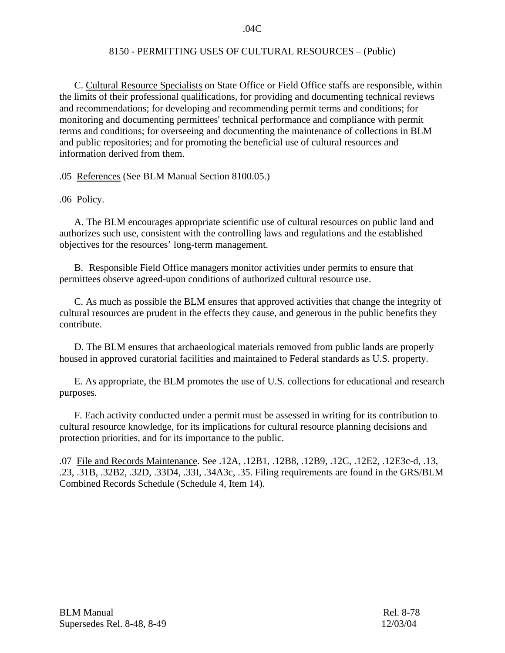.04C

## 8150 - PERMITTING USES OF CULTURAL RESOURCES – (Public)

 C. Cultural Resource Specialists on State Office or Field Office staffs are responsible, within the limits of their professional qualifications, for providing and documenting technical reviews and recommendations; for developing and recommending permit terms and conditions; for monitoring and documenting permittees' technical performance and compliance with permit terms and conditions; for overseeing and documenting the maintenance of collections in BLM and public repositories; and for promoting the beneficial use of cultural resources and information derived from them.

.05 References (See BLM Manual Section 8100.05.)

.06 Policy.

A. The BLM encourages appropriate scientific use of cultural resources on public land and authorizes such use, consistent with the controlling laws and regulations and the established objectives for the resources' long-term management.

B. Responsible Field Office managers monitor activities under permits to ensure that permittees observe agreed-upon conditions of authorized cultural resource use.

C. As much as possible the BLM ensures that approved activities that change the integrity of cultural resources are prudent in the effects they cause, and generous in the public benefits they contribute.

D. The BLM ensures that archaeological materials removed from public lands are properly housed in approved curatorial facilities and maintained to Federal standards as U.S. property.

E. As appropriate, the BLM promotes the use of U.S. collections for educational and research purposes.

F. Each activity conducted under a permit must be assessed in writing for its contribution to cultural resource knowledge, for its implications for cultural resource planning decisions and protection priorities, and for its importance to the public.

.07 File and Records Maintenance. See .12A, .12B1, .12B8, .12B9, .12C, .12E2, .12E3c-d, .13, .23, .31B, .32B2, .32D, .33D4, .33I, .34A3c, .35. Filing requirements are found in the GRS/BLM Combined Records Schedule (Schedule 4, Item 14).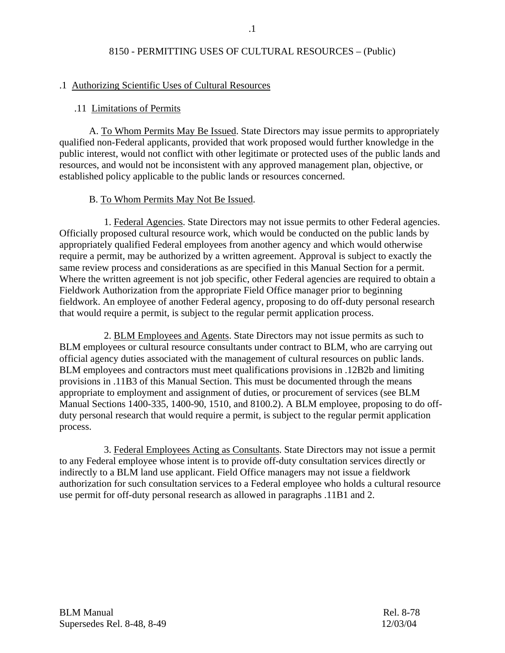# .1 Authorizing Scientific Uses of Cultural Resources

## .11 Limitations of Permits

 A. To Whom Permits May Be Issued. State Directors may issue permits to appropriately qualified non-Federal applicants, provided that work proposed would further knowledge in the public interest, would not conflict with other legitimate or protected uses of the public lands and resources, and would not be inconsistent with any approved management plan, objective, or established policy applicable to the public lands or resources concerned.

# B. To Whom Permits May Not Be Issued.

 1. Federal Agencies. State Directors may not issue permits to other Federal agencies. Officially proposed cultural resource work, which would be conducted on the public lands by appropriately qualified Federal employees from another agency and which would otherwise require a permit, may be authorized by a written agreement. Approval is subject to exactly the same review process and considerations as are specified in this Manual Section for a permit. Where the written agreement is not job specific, other Federal agencies are required to obtain a Fieldwork Authorization from the appropriate Field Office manager prior to beginning fieldwork. An employee of another Federal agency, proposing to do off-duty personal research that would require a permit, is subject to the regular permit application process.

 2. BLM Employees and Agents. State Directors may not issue permits as such to BLM employees or cultural resource consultants under contract to BLM, who are carrying out official agency duties associated with the management of cultural resources on public lands. BLM employees and contractors must meet qualifications provisions in .12B2b and limiting provisions in .11B3 of this Manual Section. This must be documented through the means appropriate to employment and assignment of duties, or procurement of services (see BLM Manual Sections 1400-335, 1400-90, 1510, and 8100.2). A BLM employee, proposing to do offduty personal research that would require a permit, is subject to the regular permit application process.

 3. Federal Employees Acting as Consultants. State Directors may not issue a permit to any Federal employee whose intent is to provide off-duty consultation services directly or indirectly to a BLM land use applicant. Field Office managers may not issue a fieldwork authorization for such consultation services to a Federal employee who holds a cultural resource use permit for off-duty personal research as allowed in paragraphs .11B1 and 2.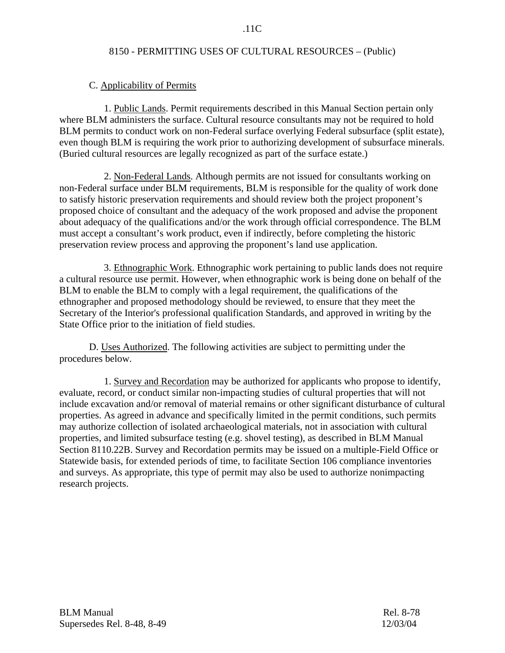## .11C

## 8150 - PERMITTING USES OF CULTURAL RESOURCES – (Public)

## C. Applicability of Permits

 1. Public Lands. Permit requirements described in this Manual Section pertain only where BLM administers the surface. Cultural resource consultants may not be required to hold BLM permits to conduct work on non-Federal surface overlying Federal subsurface (split estate), even though BLM is requiring the work prior to authorizing development of subsurface minerals. (Buried cultural resources are legally recognized as part of the surface estate.)

 2. Non-Federal Lands. Although permits are not issued for consultants working on non-Federal surface under BLM requirements, BLM is responsible for the quality of work done to satisfy historic preservation requirements and should review both the project proponent's proposed choice of consultant and the adequacy of the work proposed and advise the proponent about adequacy of the qualifications and/or the work through official correspondence. The BLM must accept a consultant's work product, even if indirectly, before completing the historic preservation review process and approving the proponent's land use application.

3. Ethnographic Work. Ethnographic work pertaining to public lands does not require a cultural resource use permit. However, when ethnographic work is being done on behalf of the BLM to enable the BLM to comply with a legal requirement, the qualifications of the ethnographer and proposed methodology should be reviewed, to ensure that they meet the Secretary of the Interior's professional qualification Standards, and approved in writing by the State Office prior to the initiation of field studies.

 D. Uses Authorized. The following activities are subject to permitting under the procedures below.

 1. Survey and Recordation may be authorized for applicants who propose to identify, evaluate, record, or conduct similar non-impacting studies of cultural properties that will not include excavation and/or removal of material remains or other significant disturbance of cultural properties. As agreed in advance and specifically limited in the permit conditions, such permits may authorize collection of isolated archaeological materials, not in association with cultural properties, and limited subsurface testing (e.g. shovel testing), as described in BLM Manual Section 8110.22B. Survey and Recordation permits may be issued on a multiple-Field Office or Statewide basis, for extended periods of time, to facilitate Section 106 compliance inventories and surveys. As appropriate, this type of permit may also be used to authorize nonimpacting research projects.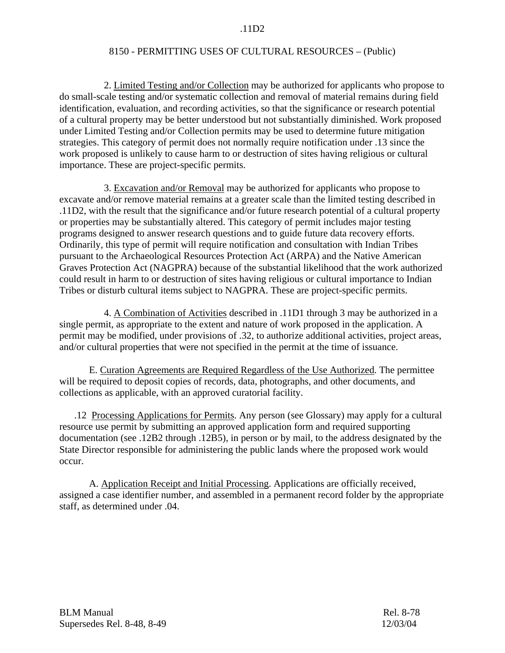2. Limited Testing and/or Collection may be authorized for applicants who propose to do small-scale testing and/or systematic collection and removal of material remains during field identification, evaluation, and recording activities, so that the significance or research potential of a cultural property may be better understood but not substantially diminished. Work proposed under Limited Testing and/or Collection permits may be used to determine future mitigation strategies. This category of permit does not normally require notification under .13 since the work proposed is unlikely to cause harm to or destruction of sites having religious or cultural importance. These are project-specific permits.

 3. Excavation and/or Removal may be authorized for applicants who propose to excavate and/or remove material remains at a greater scale than the limited testing described in .11D2, with the result that the significance and/or future research potential of a cultural property or properties may be substantially altered. This category of permit includes major testing programs designed to answer research questions and to guide future data recovery efforts. Ordinarily, this type of permit will require notification and consultation with Indian Tribes pursuant to the Archaeological Resources Protection Act (ARPA) and the Native American Graves Protection Act (NAGPRA) because of the substantial likelihood that the work authorized could result in harm to or destruction of sites having religious or cultural importance to Indian Tribes or disturb cultural items subject to NAGPRA. These are project-specific permits.

 4. A Combination of Activities described in .11D1 through 3 may be authorized in a single permit, as appropriate to the extent and nature of work proposed in the application. A permit may be modified, under provisions of .32, to authorize additional activities, project areas, and/or cultural properties that were not specified in the permit at the time of issuance.

 E. Curation Agreements are Required Regardless of the Use Authorized. The permittee will be required to deposit copies of records, data, photographs, and other documents, and collections as applicable, with an approved curatorial facility.

 .12 Processing Applications for Permits. Any person (see Glossary) may apply for a cultural resource use permit by submitting an approved application form and required supporting documentation (see .12B2 through .12B5), in person or by mail, to the address designated by the State Director responsible for administering the public lands where the proposed work would occur.

 A. Application Receipt and Initial Processing. Applications are officially received, assigned a case identifier number, and assembled in a permanent record folder by the appropriate staff, as determined under .04.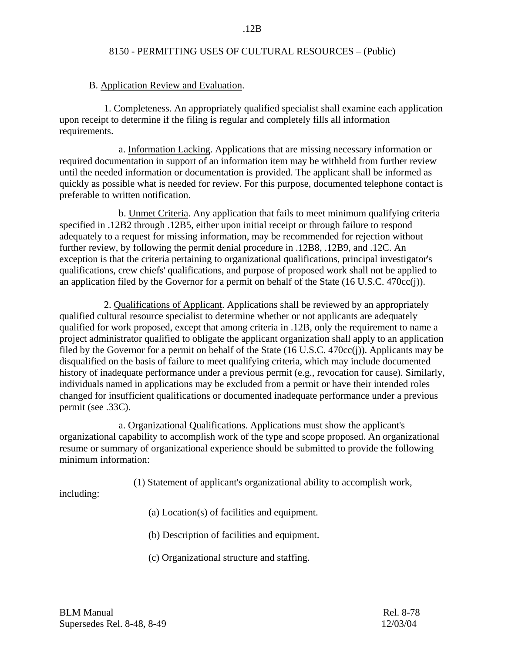#### .12B

#### 8150 - PERMITTING USES OF CULTURAL RESOURCES – (Public)

## B. Application Review and Evaluation.

 1. Completeness. An appropriately qualified specialist shall examine each application upon receipt to determine if the filing is regular and completely fills all information requirements.

 a. Information Lacking. Applications that are missing necessary information or required documentation in support of an information item may be withheld from further review until the needed information or documentation is provided. The applicant shall be informed as quickly as possible what is needed for review. For this purpose, documented telephone contact is preferable to written notification.

 b. Unmet Criteria. Any application that fails to meet minimum qualifying criteria specified in .12B2 through .12B5, either upon initial receipt or through failure to respond adequately to a request for missing information, may be recommended for rejection without further review, by following the permit denial procedure in .12B8, .12B9, and .12C. An exception is that the criteria pertaining to organizational qualifications, principal investigator's qualifications, crew chiefs' qualifications, and purpose of proposed work shall not be applied to an application filed by the Governor for a permit on behalf of the State (16 U.S.C. 470cc(j)).

 2. Qualifications of Applicant. Applications shall be reviewed by an appropriately qualified cultural resource specialist to determine whether or not applicants are adequately qualified for work proposed, except that among criteria in .12B, only the requirement to name a project administrator qualified to obligate the applicant organization shall apply to an application filed by the Governor for a permit on behalf of the State (16 U.S.C. 470cc(j)). Applicants may be disqualified on the basis of failure to meet qualifying criteria, which may include documented history of inadequate performance under a previous permit (e.g., revocation for cause). Similarly, individuals named in applications may be excluded from a permit or have their intended roles changed for insufficient qualifications or documented inadequate performance under a previous permit (see .33C).

 a. Organizational Qualifications. Applications must show the applicant's organizational capability to accomplish work of the type and scope proposed. An organizational resume or summary of organizational experience should be submitted to provide the following minimum information:

(1) Statement of applicant's organizational ability to accomplish work,

including:

(a) Location(s) of facilities and equipment.

(b) Description of facilities and equipment.

(c) Organizational structure and staffing.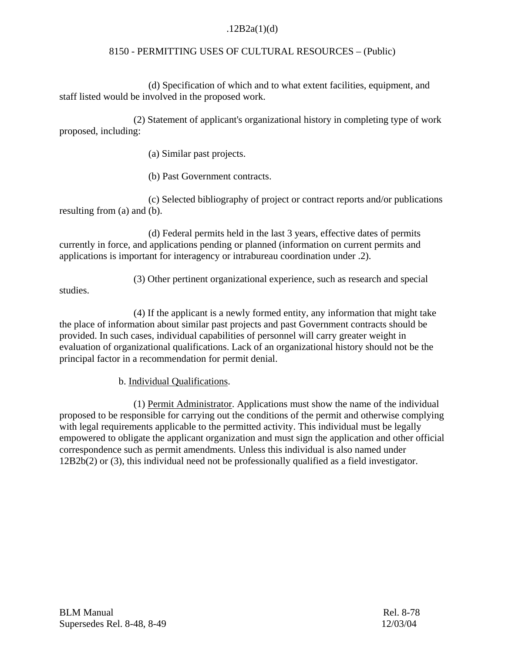# $.12B2a(1)(d)$

# 8150 - PERMITTING USES OF CULTURAL RESOURCES – (Public)

(d) Specification of which and to what extent facilities, equipment, and staff listed would be involved in the proposed work.

(2) Statement of applicant's organizational history in completing type of work proposed, including:

(a) Similar past projects.

(b) Past Government contracts.

 (c) Selected bibliography of project or contract reports and/or publications resulting from (a) and (b).

(d) Federal permits held in the last 3 years, effective dates of permits currently in force, and applications pending or planned (information on current permits and applications is important for interagency or intrabureau coordination under .2).

(3) Other pertinent organizational experience, such as research and special

studies.

(4) If the applicant is a newly formed entity, any information that might take the place of information about similar past projects and past Government contracts should be provided. In such cases, individual capabilities of personnel will carry greater weight in evaluation of organizational qualifications. Lack of an organizational history should not be the principal factor in a recommendation for permit denial.

b. Individual Qualifications.

 (1) Permit Administrator. Applications must show the name of the individual proposed to be responsible for carrying out the conditions of the permit and otherwise complying with legal requirements applicable to the permitted activity. This individual must be legally empowered to obligate the applicant organization and must sign the application and other official correspondence such as permit amendments. Unless this individual is also named under 12B2b(2) or (3), this individual need not be professionally qualified as a field investigator.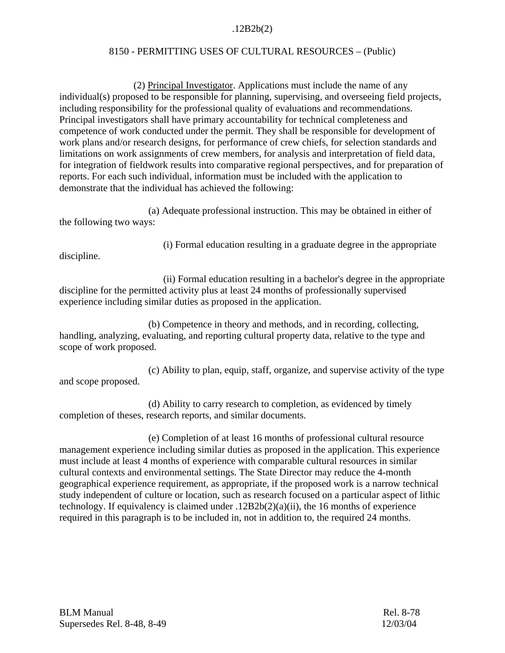# .12B2b(2)

# 8150 - PERMITTING USES OF CULTURAL RESOURCES – (Public)

 (2) Principal Investigator. Applications must include the name of any individual(s) proposed to be responsible for planning, supervising, and overseeing field projects, including responsibility for the professional quality of evaluations and recommendations. Principal investigators shall have primary accountability for technical completeness and competence of work conducted under the permit. They shall be responsible for development of work plans and/or research designs, for performance of crew chiefs, for selection standards and limitations on work assignments of crew members, for analysis and interpretation of field data, for integration of fieldwork results into comparative regional perspectives, and for preparation of reports. For each such individual, information must be included with the application to demonstrate that the individual has achieved the following:

 (a) Adequate professional instruction. This may be obtained in either of the following two ways:

(i) Formal education resulting in a graduate degree in the appropriate

discipline.

 (ii) Formal education resulting in a bachelor's degree in the appropriate discipline for the permitted activity plus at least 24 months of professionally supervised experience including similar duties as proposed in the application.

(b) Competence in theory and methods, and in recording, collecting, handling, analyzing, evaluating, and reporting cultural property data, relative to the type and scope of work proposed.

(c) Ability to plan, equip, staff, organize, and supervise activity of the type and scope proposed.

(d) Ability to carry research to completion, as evidenced by timely completion of theses, research reports, and similar documents.

(e) Completion of at least 16 months of professional cultural resource management experience including similar duties as proposed in the application. This experience must include at least 4 months of experience with comparable cultural resources in similar cultural contexts and environmental settings. The State Director may reduce the 4-month geographical experience requirement, as appropriate, if the proposed work is a narrow technical study independent of culture or location, such as research focused on a particular aspect of lithic technology. If equivalency is claimed under .12B2b(2)(a)(ii), the 16 months of experience required in this paragraph is to be included in, not in addition to, the required 24 months.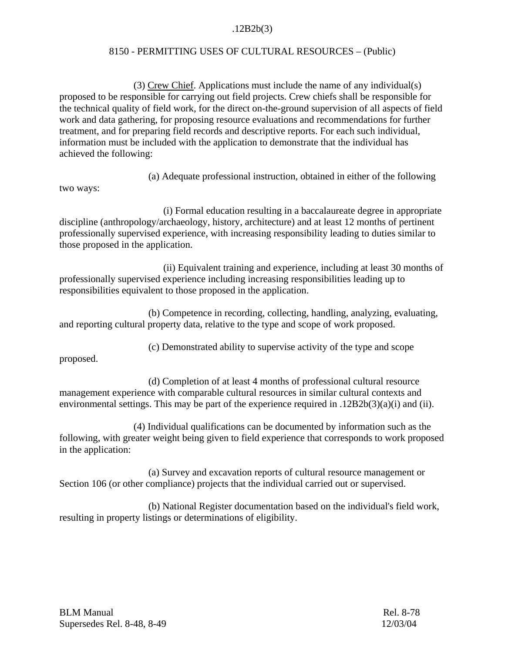# .12B2b(3)

# 8150 - PERMITTING USES OF CULTURAL RESOURCES – (Public)

 (3) Crew Chief. Applications must include the name of any individual(s) proposed to be responsible for carrying out field projects. Crew chiefs shall be responsible for the technical quality of field work, for the direct on-the-ground supervision of all aspects of field work and data gathering, for proposing resource evaluations and recommendations for further treatment, and for preparing field records and descriptive reports. For each such individual, information must be included with the application to demonstrate that the individual has achieved the following:

(a) Adequate professional instruction, obtained in either of the following

two ways:

 (i) Formal education resulting in a baccalaureate degree in appropriate discipline (anthropology/archaeology, history, architecture) and at least 12 months of pertinent professionally supervised experience, with increasing responsibility leading to duties similar to those proposed in the application.

 (ii) Equivalent training and experience, including at least 30 months of professionally supervised experience including increasing responsibilities leading up to responsibilities equivalent to those proposed in the application.

 (b) Competence in recording, collecting, handling, analyzing, evaluating, and reporting cultural property data, relative to the type and scope of work proposed.

(c) Demonstrated ability to supervise activity of the type and scope

proposed.

(d) Completion of at least 4 months of professional cultural resource management experience with comparable cultural resources in similar cultural contexts and environmental settings. This may be part of the experience required in .12B2b(3)(a)(i) and (ii).

(4) Individual qualifications can be documented by information such as the following, with greater weight being given to field experience that corresponds to work proposed in the application:

 (a) Survey and excavation reports of cultural resource management or Section 106 (or other compliance) projects that the individual carried out or supervised.

 (b) National Register documentation based on the individual's field work, resulting in property listings or determinations of eligibility.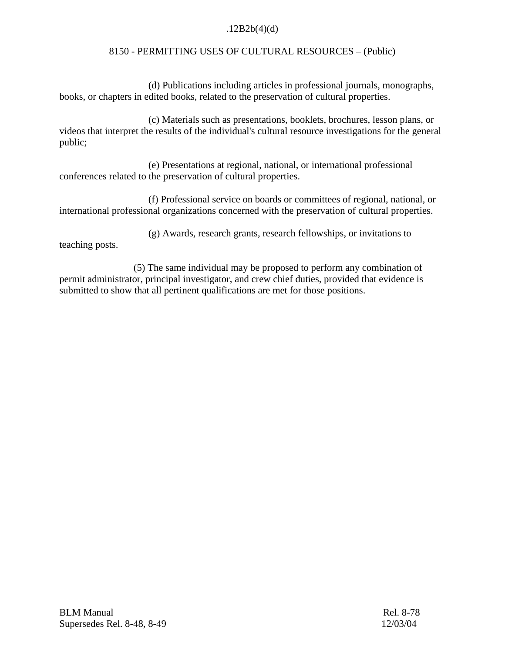# $.12B2b(4)(d)$

# 8150 - PERMITTING USES OF CULTURAL RESOURCES – (Public)

 (d) Publications including articles in professional journals, monographs, books, or chapters in edited books, related to the preservation of cultural properties.

(c) Materials such as presentations, booklets, brochures, lesson plans, or videos that interpret the results of the individual's cultural resource investigations for the general public;

 (e) Presentations at regional, national, or international professional conferences related to the preservation of cultural properties.

(f) Professional service on boards or committees of regional, national, or international professional organizations concerned with the preservation of cultural properties.

(g) Awards, research grants, research fellowships, or invitations to

teaching posts.

(5) The same individual may be proposed to perform any combination of permit administrator, principal investigator, and crew chief duties, provided that evidence is submitted to show that all pertinent qualifications are met for those positions.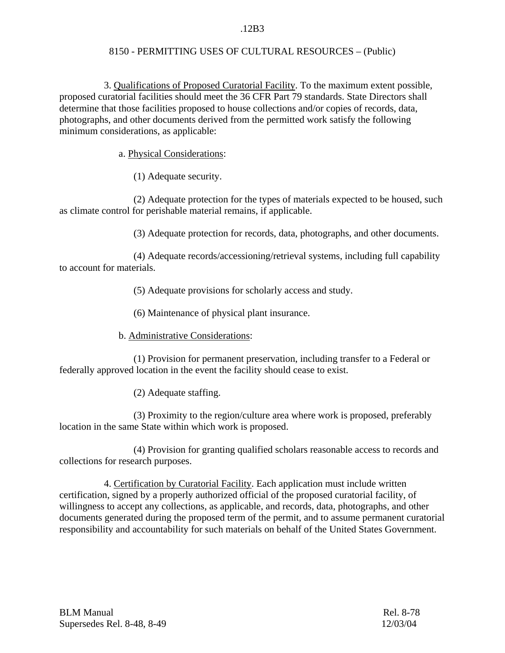## .12B3

## 8150 - PERMITTING USES OF CULTURAL RESOURCES – (Public)

 3. Qualifications of Proposed Curatorial Facility. To the maximum extent possible, proposed curatorial facilities should meet the 36 CFR Part 79 standards. State Directors shall determine that those facilities proposed to house collections and/or copies of records, data, photographs, and other documents derived from the permitted work satisfy the following minimum considerations, as applicable:

a. Physical Considerations:

(1) Adequate security.

(2) Adequate protection for the types of materials expected to be housed, such as climate control for perishable material remains, if applicable.

(3) Adequate protection for records, data, photographs, and other documents.

 (4) Adequate records/accessioning/retrieval systems, including full capability to account for materials.

(5) Adequate provisions for scholarly access and study.

(6) Maintenance of physical plant insurance.

b. Administrative Considerations:

(1) Provision for permanent preservation, including transfer to a Federal or federally approved location in the event the facility should cease to exist.

(2) Adequate staffing.

 (3) Proximity to the region/culture area where work is proposed, preferably location in the same State within which work is proposed.

(4) Provision for granting qualified scholars reasonable access to records and collections for research purposes.

 4. Certification by Curatorial Facility. Each application must include written certification, signed by a properly authorized official of the proposed curatorial facility, of willingness to accept any collections, as applicable, and records, data, photographs, and other documents generated during the proposed term of the permit, and to assume permanent curatorial responsibility and accountability for such materials on behalf of the United States Government.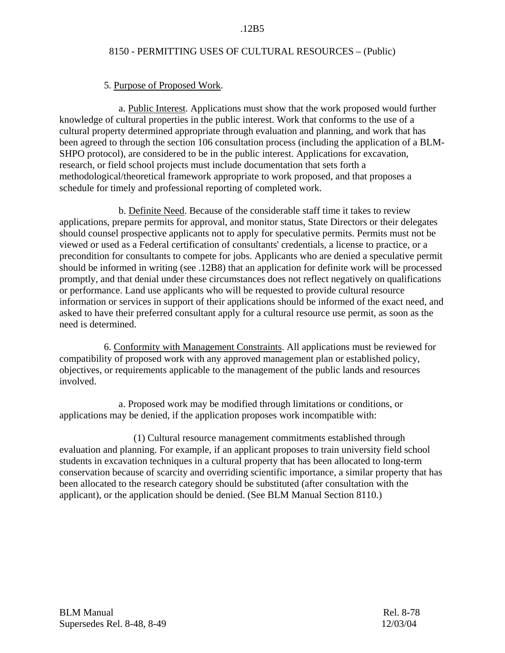# 5. Purpose of Proposed Work.

 a. Public Interest. Applications must show that the work proposed would further knowledge of cultural properties in the public interest. Work that conforms to the use of a cultural property determined appropriate through evaluation and planning, and work that has been agreed to through the section 106 consultation process (including the application of a BLM-SHPO protocol), are considered to be in the public interest. Applications for excavation, research, or field school projects must include documentation that sets forth a methodological/theoretical framework appropriate to work proposed, and that proposes a schedule for timely and professional reporting of completed work.

 b. Definite Need. Because of the considerable staff time it takes to review applications, prepare permits for approval, and monitor status, State Directors or their delegates should counsel prospective applicants not to apply for speculative permits. Permits must not be viewed or used as a Federal certification of consultants' credentials, a license to practice, or a precondition for consultants to compete for jobs. Applicants who are denied a speculative permit should be informed in writing (see .12B8) that an application for definite work will be processed promptly, and that denial under these circumstances does not reflect negatively on qualifications or performance. Land use applicants who will be requested to provide cultural resource information or services in support of their applications should be informed of the exact need, and asked to have their preferred consultant apply for a cultural resource use permit, as soon as the need is determined.

 6. Conformity with Management Constraints. All applications must be reviewed for compatibility of proposed work with any approved management plan or established policy, objectives, or requirements applicable to the management of the public lands and resources involved.

a. Proposed work may be modified through limitations or conditions, or applications may be denied, if the application proposes work incompatible with:

 (1) Cultural resource management commitments established through evaluation and planning. For example, if an applicant proposes to train university field school students in excavation techniques in a cultural property that has been allocated to long-term conservation because of scarcity and overriding scientific importance, a similar property that has been allocated to the research category should be substituted (after consultation with the applicant), or the application should be denied. (See BLM Manual Section 8110.)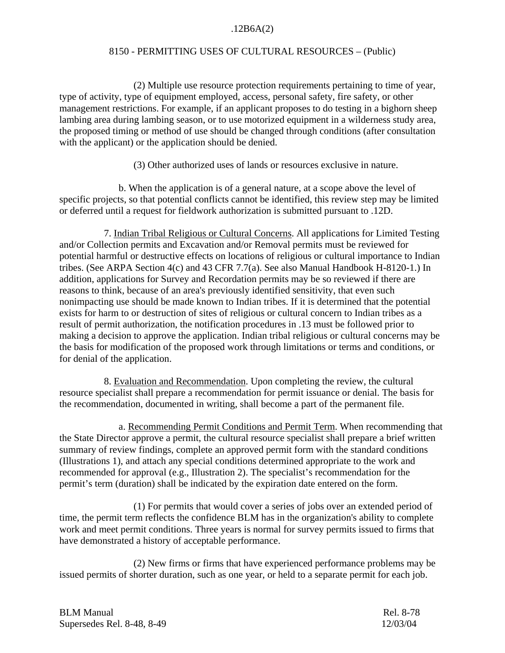# .12B6A(2)

## 8150 - PERMITTING USES OF CULTURAL RESOURCES – (Public)

 (2) Multiple use resource protection requirements pertaining to time of year, type of activity, type of equipment employed, access, personal safety, fire safety, or other management restrictions. For example, if an applicant proposes to do testing in a bighorn sheep lambing area during lambing season, or to use motorized equipment in a wilderness study area, the proposed timing or method of use should be changed through conditions (after consultation with the applicant) or the application should be denied.

(3) Other authorized uses of lands or resources exclusive in nature.

b. When the application is of a general nature, at a scope above the level of specific projects, so that potential conflicts cannot be identified, this review step may be limited or deferred until a request for fieldwork authorization is submitted pursuant to .12D.

 7. Indian Tribal Religious or Cultural Concerns. All applications for Limited Testing and/or Collection permits and Excavation and/or Removal permits must be reviewed for potential harmful or destructive effects on locations of religious or cultural importance to Indian tribes. (See ARPA Section 4(c) and 43 CFR 7.7(a). See also Manual Handbook H-8120-1.) In addition, applications for Survey and Recordation permits may be so reviewed if there are reasons to think, because of an area's previously identified sensitivity, that even such nonimpacting use should be made known to Indian tribes. If it is determined that the potential exists for harm to or destruction of sites of religious or cultural concern to Indian tribes as a result of permit authorization, the notification procedures in .13 must be followed prior to making a decision to approve the application. Indian tribal religious or cultural concerns may be the basis for modification of the proposed work through limitations or terms and conditions, or for denial of the application.

 8. Evaluation and Recommendation. Upon completing the review, the cultural resource specialist shall prepare a recommendation for permit issuance or denial. The basis for the recommendation, documented in writing, shall become a part of the permanent file.

 a. Recommending Permit Conditions and Permit Term. When recommending that the State Director approve a permit, the cultural resource specialist shall prepare a brief written summary of review findings, complete an approved permit form with the standard conditions (Illustrations 1), and attach any special conditions determined appropriate to the work and recommended for approval (e.g., Illustration 2). The specialist's recommendation for the permit's term (duration) shall be indicated by the expiration date entered on the form.

(1) For permits that would cover a series of jobs over an extended period of time, the permit term reflects the confidence BLM has in the organization's ability to complete work and meet permit conditions. Three years is normal for survey permits issued to firms that have demonstrated a history of acceptable performance.

(2) New firms or firms that have experienced performance problems may be issued permits of shorter duration, such as one year, or held to a separate permit for each job.

| <b>BLM Manual</b>          | Rel. 8-78 |
|----------------------------|-----------|
| Supersedes Rel. 8-48, 8-49 | 12/03/04  |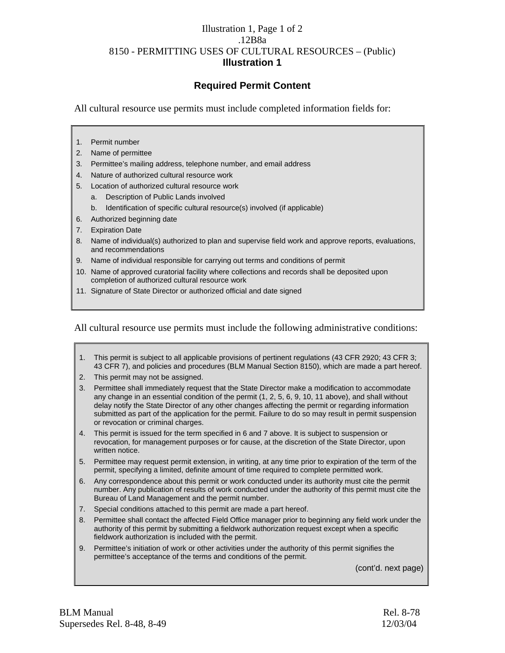# Illustration 1, Page 1 of 2 .12B8a 8150 - PERMITTING USES OF CULTURAL RESOURCES – (Public) **Illustration 1**

# **Required Permit Content**

All cultural resource use permits must include completed information fields for:

- 1. Permit number
- 2. Name of permittee
- 3. Permittee's mailing address, telephone number, and email address
- 4. Nature of authorized cultural resource work
- 5. Location of authorized cultural resource work
	- a. Description of Public Lands involved
	- b. Identification of specific cultural resource(s) involved (if applicable)
- 6. Authorized beginning date
- 7. Expiration Date
- 8. Name of individual(s) authorized to plan and supervise field work and approve reports, evaluations, and recommendations
- 9. Name of individual responsible for carrying out terms and conditions of permit
- 10. Name of approved curatorial facility where collections and records shall be deposited upon completion of authorized cultural resource work
- 11. Signature of State Director or authorized official and date signed

All cultural resource use permits must include the following administrative conditions:

- 1. This permit is subject to all applicable provisions of pertinent regulations (43 CFR 2920; 43 CFR 3; 43 CFR 7), and policies and procedures (BLM Manual Section 8150), which are made a part hereof.
- 2. This permit may not be assigned.
- 3. Permittee shall immediately request that the State Director make a modification to accommodate any change in an essential condition of the permit (1, 2, 5, 6, 9, 10, 11 above), and shall without delay notify the State Director of any other changes affecting the permit or regarding information submitted as part of the application for the permit. Failure to do so may result in permit suspension or revocation or criminal charges.
- 4. This permit is issued for the term specified in 6 and 7 above. It is subject to suspension or revocation, for management purposes or for cause, at the discretion of the State Director, upon written notice.
- 5. Permittee may request permit extension, in writing, at any time prior to expiration of the term of the permit, specifying a limited, definite amount of time required to complete permitted work.
- 6. Any correspondence about this permit or work conducted under its authority must cite the permit number. Any publication of results of work conducted under the authority of this permit must cite the Bureau of Land Management and the permit number.
- 7. Special conditions attached to this permit are made a part hereof.
- 8. Permittee shall contact the affected Field Office manager prior to beginning any field work under the authority of this permit by submitting a fieldwork authorization request except when a specific fieldwork authorization is included with the permit.
- 9. Permittee's initiation of work or other activities under the authority of this permit signifies the permittee's acceptance of the terms and conditions of the permit.

(cont'd. next page)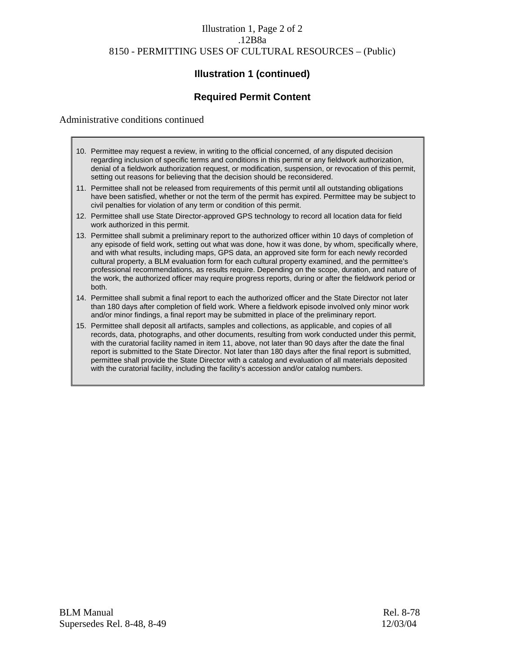# Illustration 1, Page 2 of 2 .12B8a 8150 - PERMITTING USES OF CULTURAL RESOURCES – (Public)

# **Illustration 1 (continued)**

# **Required Permit Content**

### Administrative conditions continued

- 10. Permittee may request a review, in writing to the official concerned, of any disputed decision regarding inclusion of specific terms and conditions in this permit or any fieldwork authorization, denial of a fieldwork authorization request, or modification, suspension, or revocation of this permit, setting out reasons for believing that the decision should be reconsidered.
- 11. Permittee shall not be released from requirements of this permit until all outstanding obligations have been satisfied, whether or not the term of the permit has expired. Permittee may be subject to civil penalties for violation of any term or condition of this permit.
- 12. Permittee shall use State Director-approved GPS technology to record all location data for field work authorized in this permit.
- 13. Permittee shall submit a preliminary report to the authorized officer within 10 days of completion of any episode of field work, setting out what was done, how it was done, by whom, specifically where, and with what results, including maps, GPS data, an approved site form for each newly recorded cultural property, a BLM evaluation form for each cultural property examined, and the permittee's professional recommendations, as results require. Depending on the scope, duration, and nature of the work, the authorized officer may require progress reports, during or after the fieldwork period or both.
- 14. Permittee shall submit a final report to each the authorized officer and the State Director not later than 180 days after completion of field work. Where a fieldwork episode involved only minor work and/or minor findings, a final report may be submitted in place of the preliminary report.
- 15. Permittee shall deposit all artifacts, samples and collections, as applicable, and copies of all records, data, photographs, and other documents, resulting from work conducted under this permit, with the curatorial facility named in item 11, above, not later than 90 days after the date the final report is submitted to the State Director. Not later than 180 days after the final report is submitted, permittee shall provide the State Director with a catalog and evaluation of all materials deposited with the curatorial facility, including the facility's accession and/or catalog numbers.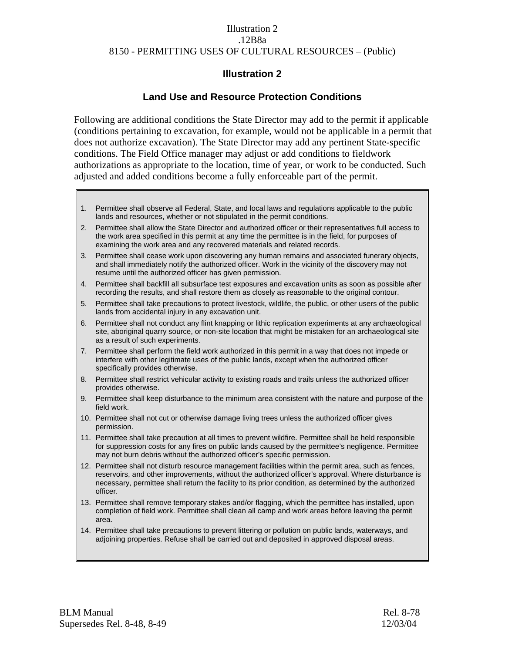## Illustration 2 .12B8a 8150 - PERMITTING USES OF CULTURAL RESOURCES – (Public)

# **Illustration 2**

# **Land Use and Resource Protection Conditions**

Following are additional conditions the State Director may add to the permit if applicable (conditions pertaining to excavation, for example, would not be applicable in a permit that does not authorize excavation). The State Director may add any pertinent State-specific conditions. The Field Office manager may adjust or add conditions to fieldwork authorizations as appropriate to the location, time of year, or work to be conducted. Such adjusted and added conditions become a fully enforceable part of the permit.

- 1. Permittee shall observe all Federal, State, and local laws and regulations applicable to the public lands and resources, whether or not stipulated in the permit conditions.
- 2. Permittee shall allow the State Director and authorized officer or their representatives full access to the work area specified in this permit at any time the permittee is in the field, for purposes of examining the work area and any recovered materials and related records.
- 3. Permittee shall cease work upon discovering any human remains and associated funerary objects, and shall immediately notify the authorized officer. Work in the vicinity of the discovery may not resume until the authorized officer has given permission.
- 4. Permittee shall backfill all subsurface test exposures and excavation units as soon as possible after recording the results, and shall restore them as closely as reasonable to the original contour.
- 5. Permittee shall take precautions to protect livestock, wildlife, the public, or other users of the public lands from accidental injury in any excavation unit.
- 6. Permittee shall not conduct any flint knapping or lithic replication experiments at any archaeological site, aboriginal quarry source, or non-site location that might be mistaken for an archaeological site as a result of such experiments.
- 7. Permittee shall perform the field work authorized in this permit in a way that does not impede or interfere with other legitimate uses of the public lands, except when the authorized officer specifically provides otherwise.
- 8. Permittee shall restrict vehicular activity to existing roads and trails unless the authorized officer provides otherwise.
- 9. Permittee shall keep disturbance to the minimum area consistent with the nature and purpose of the field work.
- 10. Permittee shall not cut or otherwise damage living trees unless the authorized officer gives permission.
- 11. Permittee shall take precaution at all times to prevent wildfire. Permittee shall be held responsible for suppression costs for any fires on public lands caused by the permittee's negligence. Permittee may not burn debris without the authorized officer's specific permission.
- 12. Permittee shall not disturb resource management facilities within the permit area, such as fences, reservoirs, and other improvements, without the authorized officer's approval. Where disturbance is necessary, permittee shall return the facility to its prior condition, as determined by the authorized officer.
- 13. Permittee shall remove temporary stakes and/or flagging, which the permittee has installed, upon completion of field work. Permittee shall clean all camp and work areas before leaving the permit area.
- 14. Permittee shall take precautions to prevent littering or pollution on public lands, waterways, and adjoining properties. Refuse shall be carried out and deposited in approved disposal areas.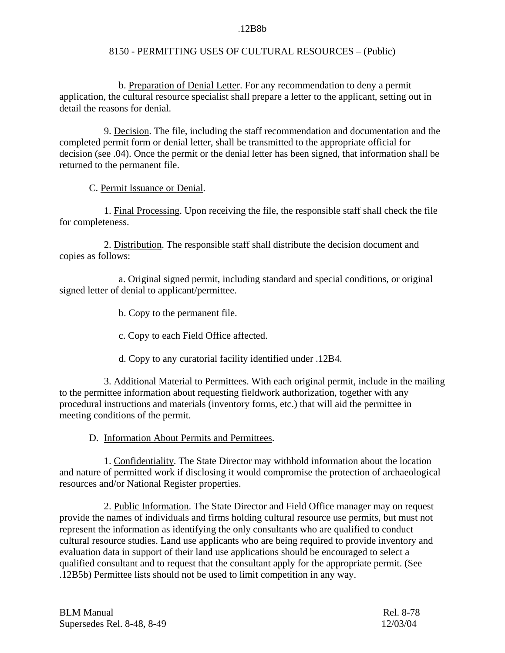#### .12B8b

# 8150 - PERMITTING USES OF CULTURAL RESOURCES – (Public)

 b. Preparation of Denial Letter. For any recommendation to deny a permit application, the cultural resource specialist shall prepare a letter to the applicant, setting out in detail the reasons for denial.

 9. Decision. The file, including the staff recommendation and documentation and the completed permit form or denial letter, shall be transmitted to the appropriate official for decision (see .04). Once the permit or the denial letter has been signed, that information shall be returned to the permanent file.

C. Permit Issuance or Denial.

 1. Final Processing. Upon receiving the file, the responsible staff shall check the file for completeness.

 2. Distribution. The responsible staff shall distribute the decision document and copies as follows:

a. Original signed permit, including standard and special conditions, or original signed letter of denial to applicant/permittee.

b. Copy to the permanent file.

c. Copy to each Field Office affected.

d. Copy to any curatorial facility identified under .12B4.

 3. Additional Material to Permittees. With each original permit, include in the mailing to the permittee information about requesting fieldwork authorization, together with any procedural instructions and materials (inventory forms, etc.) that will aid the permittee in meeting conditions of the permit.

D. Information About Permits and Permittees.

1. Confidentiality. The State Director may withhold information about the location and nature of permitted work if disclosing it would compromise the protection of archaeological resources and/or National Register properties.

2. Public Information. The State Director and Field Office manager may on request provide the names of individuals and firms holding cultural resource use permits, but must not represent the information as identifying the only consultants who are qualified to conduct cultural resource studies. Land use applicants who are being required to provide inventory and evaluation data in support of their land use applications should be encouraged to select a qualified consultant and to request that the consultant apply for the appropriate permit. (See .12B5b) Permittee lists should not be used to limit competition in any way.

| <b>BLM Manual</b>          | Rel. 8-78 |
|----------------------------|-----------|
| Supersedes Rel. 8-48, 8-49 | 12/03/04  |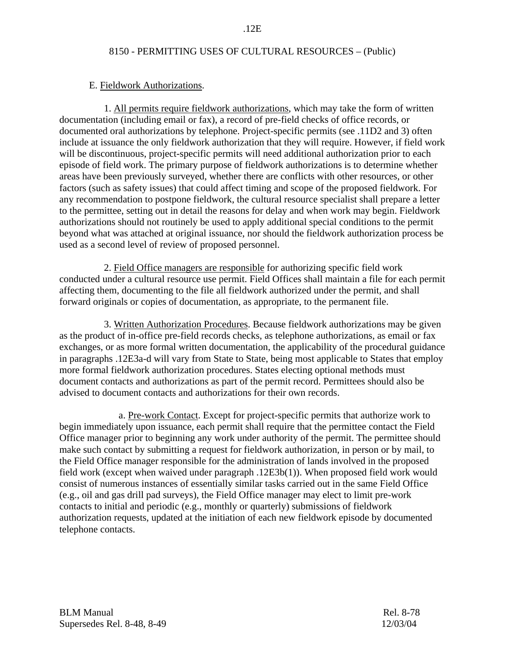### E. Fieldwork Authorizations.

 1. All permits require fieldwork authorizations, which may take the form of written documentation (including email or fax), a record of pre-field checks of office records, or documented oral authorizations by telephone. Project-specific permits (see .11D2 and 3) often include at issuance the only fieldwork authorization that they will require. However, if field work will be discontinuous, project-specific permits will need additional authorization prior to each episode of field work. The primary purpose of fieldwork authorizations is to determine whether areas have been previously surveyed, whether there are conflicts with other resources, or other factors (such as safety issues) that could affect timing and scope of the proposed fieldwork. For any recommendation to postpone fieldwork, the cultural resource specialist shall prepare a letter to the permittee, setting out in detail the reasons for delay and when work may begin. Fieldwork authorizations should not routinely be used to apply additional special conditions to the permit beyond what was attached at original issuance, nor should the fieldwork authorization process be used as a second level of review of proposed personnel.

 2. Field Office managers are responsible for authorizing specific field work conducted under a cultural resource use permit. Field Offices shall maintain a file for each permit affecting them, documenting to the file all fieldwork authorized under the permit, and shall forward originals or copies of documentation, as appropriate, to the permanent file.

 3. Written Authorization Procedures. Because fieldwork authorizations may be given as the product of in-office pre-field records checks, as telephone authorizations, as email or fax exchanges, or as more formal written documentation, the applicability of the procedural guidance in paragraphs .12E3a-d will vary from State to State, being most applicable to States that employ more formal fieldwork authorization procedures. States electing optional methods must document contacts and authorizations as part of the permit record. Permittees should also be advised to document contacts and authorizations for their own records.

 a. Pre-work Contact. Except for project-specific permits that authorize work to begin immediately upon issuance, each permit shall require that the permittee contact the Field Office manager prior to beginning any work under authority of the permit. The permittee should make such contact by submitting a request for fieldwork authorization, in person or by mail, to the Field Office manager responsible for the administration of lands involved in the proposed field work (except when waived under paragraph .12E3b(1)). When proposed field work would consist of numerous instances of essentially similar tasks carried out in the same Field Office (e.g., oil and gas drill pad surveys), the Field Office manager may elect to limit pre-work contacts to initial and periodic (e.g., monthly or quarterly) submissions of fieldwork authorization requests, updated at the initiation of each new fieldwork episode by documented telephone contacts.

BLM Manual Rel. 8-78 Supersedes Rel. 8-48, 8-49 12/03/04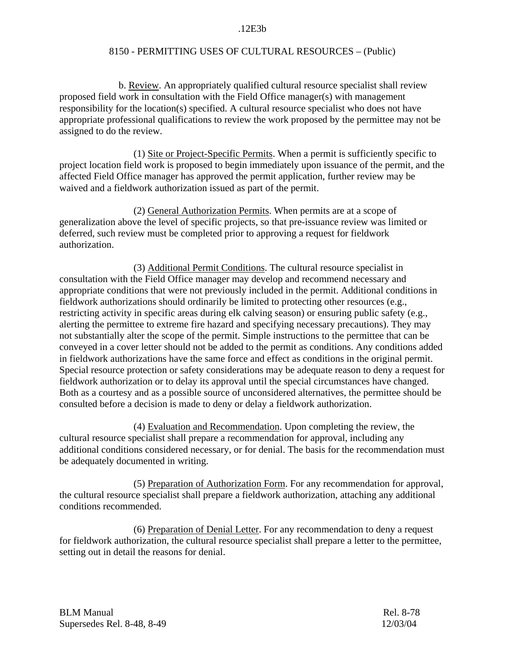#### .12E3b

## 8150 - PERMITTING USES OF CULTURAL RESOURCES – (Public)

b. Review. An appropriately qualified cultural resource specialist shall review proposed field work in consultation with the Field Office manager(s) with management responsibility for the location(s) specified. A cultural resource specialist who does not have appropriate professional qualifications to review the work proposed by the permittee may not be assigned to do the review.

 (1) Site or Project-Specific Permits. When a permit is sufficiently specific to project location field work is proposed to begin immediately upon issuance of the permit, and the affected Field Office manager has approved the permit application, further review may be waived and a fieldwork authorization issued as part of the permit.

 (2) General Authorization Permits. When permits are at a scope of generalization above the level of specific projects, so that pre-issuance review was limited or deferred, such review must be completed prior to approving a request for fieldwork authorization.

 (3) Additional Permit Conditions. The cultural resource specialist in consultation with the Field Office manager may develop and recommend necessary and appropriate conditions that were not previously included in the permit. Additional conditions in fieldwork authorizations should ordinarily be limited to protecting other resources (e.g., restricting activity in specific areas during elk calving season) or ensuring public safety (e.g., alerting the permittee to extreme fire hazard and specifying necessary precautions). They may not substantially alter the scope of the permit. Simple instructions to the permittee that can be conveyed in a cover letter should not be added to the permit as conditions. Any conditions added in fieldwork authorizations have the same force and effect as conditions in the original permit. Special resource protection or safety considerations may be adequate reason to deny a request for fieldwork authorization or to delay its approval until the special circumstances have changed. Both as a courtesy and as a possible source of unconsidered alternatives, the permittee should be consulted before a decision is made to deny or delay a fieldwork authorization.

 (4) Evaluation and Recommendation. Upon completing the review, the cultural resource specialist shall prepare a recommendation for approval, including any additional conditions considered necessary, or for denial. The basis for the recommendation must be adequately documented in writing.

 (5) Preparation of Authorization Form. For any recommendation for approval, the cultural resource specialist shall prepare a fieldwork authorization, attaching any additional conditions recommended.

 (6) Preparation of Denial Letter. For any recommendation to deny a request for fieldwork authorization, the cultural resource specialist shall prepare a letter to the permittee, setting out in detail the reasons for denial.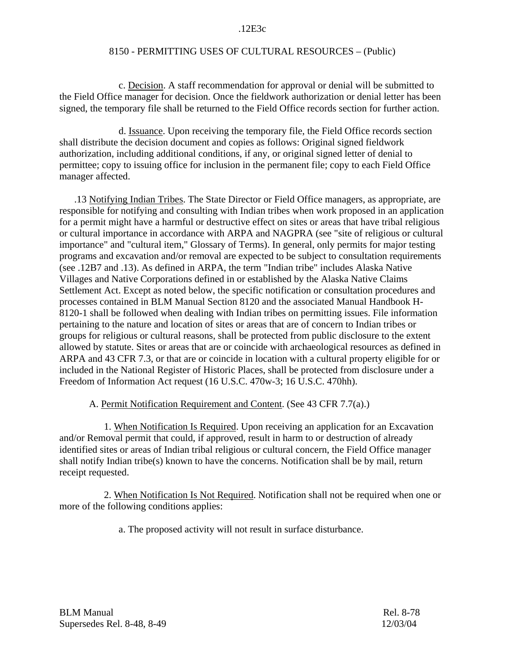#### .12E3c

## 8150 - PERMITTING USES OF CULTURAL RESOURCES – (Public)

 c. Decision. A staff recommendation for approval or denial will be submitted to the Field Office manager for decision. Once the fieldwork authorization or denial letter has been signed, the temporary file shall be returned to the Field Office records section for further action.

 d. Issuance. Upon receiving the temporary file, the Field Office records section shall distribute the decision document and copies as follows: Original signed fieldwork authorization, including additional conditions, if any, or original signed letter of denial to permittee; copy to issuing office for inclusion in the permanent file; copy to each Field Office manager affected.

 .13 Notifying Indian Tribes. The State Director or Field Office managers, as appropriate, are responsible for notifying and consulting with Indian tribes when work proposed in an application for a permit might have a harmful or destructive effect on sites or areas that have tribal religious or cultural importance in accordance with ARPA and NAGPRA (see "site of religious or cultural importance" and "cultural item," Glossary of Terms). In general, only permits for major testing programs and excavation and/or removal are expected to be subject to consultation requirements (see .12B7 and .13). As defined in ARPA, the term "Indian tribe" includes Alaska Native Villages and Native Corporations defined in or established by the Alaska Native Claims Settlement Act. Except as noted below, the specific notification or consultation procedures and processes contained in BLM Manual Section 8120 and the associated Manual Handbook H-8120-1 shall be followed when dealing with Indian tribes on permitting issues. File information pertaining to the nature and location of sites or areas that are of concern to Indian tribes or groups for religious or cultural reasons, shall be protected from public disclosure to the extent allowed by statute. Sites or areas that are or coincide with archaeological resources as defined in ARPA and 43 CFR 7.3, or that are or coincide in location with a cultural property eligible for or included in the National Register of Historic Places, shall be protected from disclosure under a Freedom of Information Act request (16 U.S.C. 470w-3; 16 U.S.C. 470hh).

## A. Permit Notification Requirement and Content. (See 43 CFR 7.7(a).)

 1. When Notification Is Required. Upon receiving an application for an Excavation and/or Removal permit that could, if approved, result in harm to or destruction of already identified sites or areas of Indian tribal religious or cultural concern, the Field Office manager shall notify Indian tribe(s) known to have the concerns. Notification shall be by mail, return receipt requested.

 2. When Notification Is Not Required. Notification shall not be required when one or more of the following conditions applies:

a. The proposed activity will not result in surface disturbance.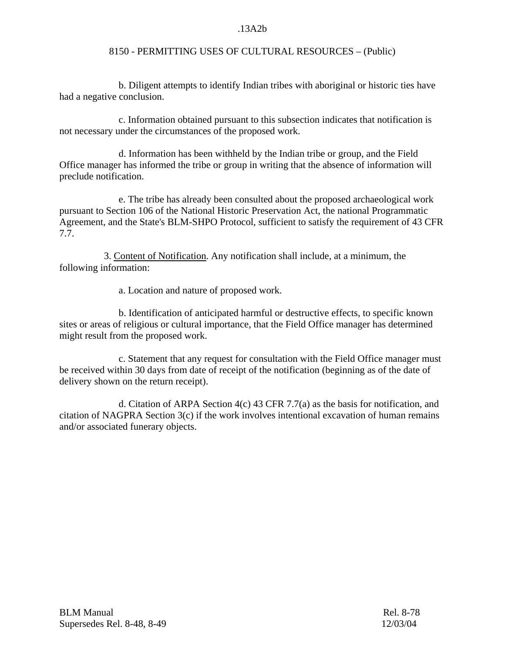## .13A2b

## 8150 - PERMITTING USES OF CULTURAL RESOURCES – (Public)

b. Diligent attempts to identify Indian tribes with aboriginal or historic ties have had a negative conclusion.

c. Information obtained pursuant to this subsection indicates that notification is not necessary under the circumstances of the proposed work.

d. Information has been withheld by the Indian tribe or group, and the Field Office manager has informed the tribe or group in writing that the absence of information will preclude notification.

e. The tribe has already been consulted about the proposed archaeological work pursuant to Section 106 of the National Historic Preservation Act, the national Programmatic Agreement, and the State's BLM-SHPO Protocol, sufficient to satisfy the requirement of 43 CFR 7.7.

 3. Content of Notification. Any notification shall include, at a minimum, the following information:

a. Location and nature of proposed work.

b. Identification of anticipated harmful or destructive effects, to specific known sites or areas of religious or cultural importance, that the Field Office manager has determined might result from the proposed work.

 c. Statement that any request for consultation with the Field Office manager must be received within 30 days from date of receipt of the notification (beginning as of the date of delivery shown on the return receipt).

d. Citation of ARPA Section  $4(c)$  43 CFR 7.7(a) as the basis for notification, and citation of NAGPRA Section 3(c) if the work involves intentional excavation of human remains and/or associated funerary objects.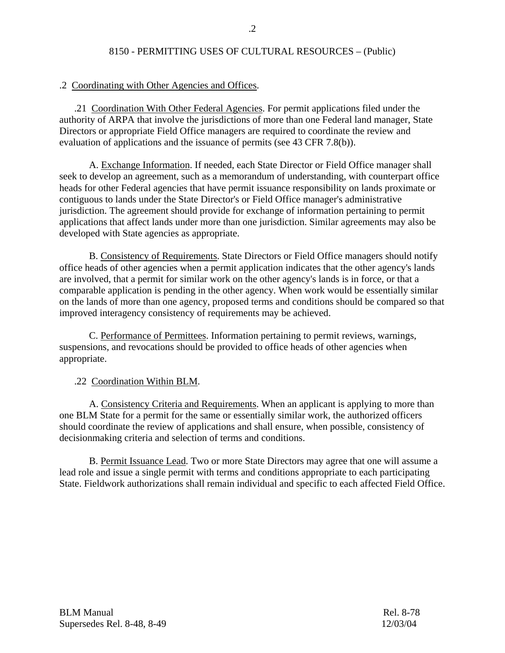# .2 Coordinating with Other Agencies and Offices.

 .21 Coordination With Other Federal Agencies. For permit applications filed under the authority of ARPA that involve the jurisdictions of more than one Federal land manager, State Directors or appropriate Field Office managers are required to coordinate the review and evaluation of applications and the issuance of permits (see 43 CFR 7.8(b)).

 A. Exchange Information. If needed, each State Director or Field Office manager shall seek to develop an agreement, such as a memorandum of understanding, with counterpart office heads for other Federal agencies that have permit issuance responsibility on lands proximate or contiguous to lands under the State Director's or Field Office manager's administrative jurisdiction. The agreement should provide for exchange of information pertaining to permit applications that affect lands under more than one jurisdiction. Similar agreements may also be developed with State agencies as appropriate.

 B. Consistency of Requirements. State Directors or Field Office managers should notify office heads of other agencies when a permit application indicates that the other agency's lands are involved, that a permit for similar work on the other agency's lands is in force, or that a comparable application is pending in the other agency. When work would be essentially similar on the lands of more than one agency, proposed terms and conditions should be compared so that improved interagency consistency of requirements may be achieved.

 C. Performance of Permittees. Information pertaining to permit reviews, warnings, suspensions, and revocations should be provided to office heads of other agencies when appropriate.

.22 Coordination Within BLM.

 A. Consistency Criteria and Requirements. When an applicant is applying to more than one BLM State for a permit for the same or essentially similar work, the authorized officers should coordinate the review of applications and shall ensure, when possible, consistency of decisionmaking criteria and selection of terms and conditions.

 B. Permit Issuance Lead. Two or more State Directors may agree that one will assume a lead role and issue a single permit with terms and conditions appropriate to each participating State. Fieldwork authorizations shall remain individual and specific to each affected Field Office.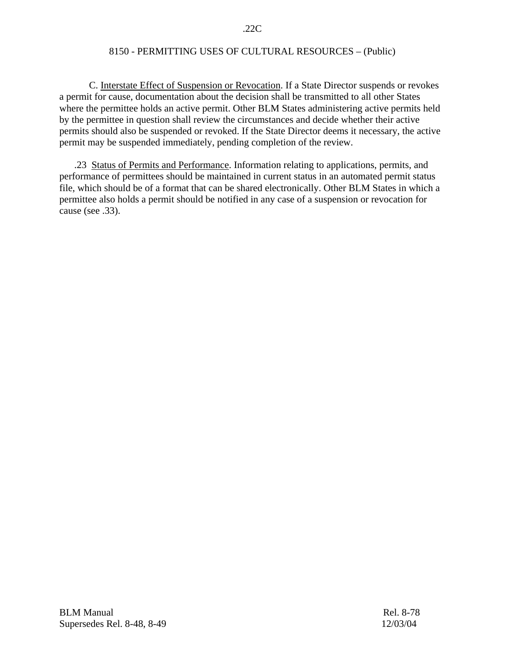#### .22C

# 8150 - PERMITTING USES OF CULTURAL RESOURCES – (Public)

 C. Interstate Effect of Suspension or Revocation. If a State Director suspends or revokes a permit for cause, documentation about the decision shall be transmitted to all other States where the permittee holds an active permit. Other BLM States administering active permits held by the permittee in question shall review the circumstances and decide whether their active permits should also be suspended or revoked. If the State Director deems it necessary, the active permit may be suspended immediately, pending completion of the review.

 .23 Status of Permits and Performance. Information relating to applications, permits, and performance of permittees should be maintained in current status in an automated permit status file, which should be of a format that can be shared electronically. Other BLM States in which a permittee also holds a permit should be notified in any case of a suspension or revocation for cause (see .33).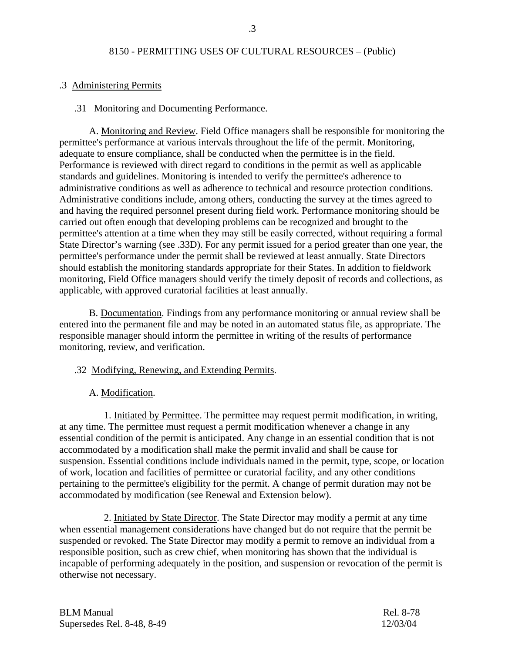### .3 Administering Permits

## .31 Monitoring and Documenting Performance.

 A. Monitoring and Review. Field Office managers shall be responsible for monitoring the permittee's performance at various intervals throughout the life of the permit. Monitoring, adequate to ensure compliance, shall be conducted when the permittee is in the field. Performance is reviewed with direct regard to conditions in the permit as well as applicable standards and guidelines. Monitoring is intended to verify the permittee's adherence to administrative conditions as well as adherence to technical and resource protection conditions. Administrative conditions include, among others, conducting the survey at the times agreed to and having the required personnel present during field work. Performance monitoring should be carried out often enough that developing problems can be recognized and brought to the permittee's attention at a time when they may still be easily corrected, without requiring a formal State Director's warning (see .33D). For any permit issued for a period greater than one year, the permittee's performance under the permit shall be reviewed at least annually. State Directors should establish the monitoring standards appropriate for their States. In addition to fieldwork monitoring, Field Office managers should verify the timely deposit of records and collections, as applicable, with approved curatorial facilities at least annually.

 B. Documentation. Findings from any performance monitoring or annual review shall be entered into the permanent file and may be noted in an automated status file, as appropriate. The responsible manager should inform the permittee in writing of the results of performance monitoring, review, and verification.

#### .32 Modifying, Renewing, and Extending Permits.

## A. Modification.

 1. Initiated by Permittee. The permittee may request permit modification, in writing, at any time. The permittee must request a permit modification whenever a change in any essential condition of the permit is anticipated. Any change in an essential condition that is not accommodated by a modification shall make the permit invalid and shall be cause for suspension. Essential conditions include individuals named in the permit, type, scope, or location of work, location and facilities of permittee or curatorial facility, and any other conditions pertaining to the permittee's eligibility for the permit. A change of permit duration may not be accommodated by modification (see Renewal and Extension below).

 2. Initiated by State Director. The State Director may modify a permit at any time when essential management considerations have changed but do not require that the permit be suspended or revoked. The State Director may modify a permit to remove an individual from a responsible position, such as crew chief, when monitoring has shown that the individual is incapable of performing adequately in the position, and suspension or revocation of the permit is otherwise not necessary.

| <b>BLM Manual</b>          | Rel. 8-78 |
|----------------------------|-----------|
| Supersedes Rel. 8-48, 8-49 | 12/03/04  |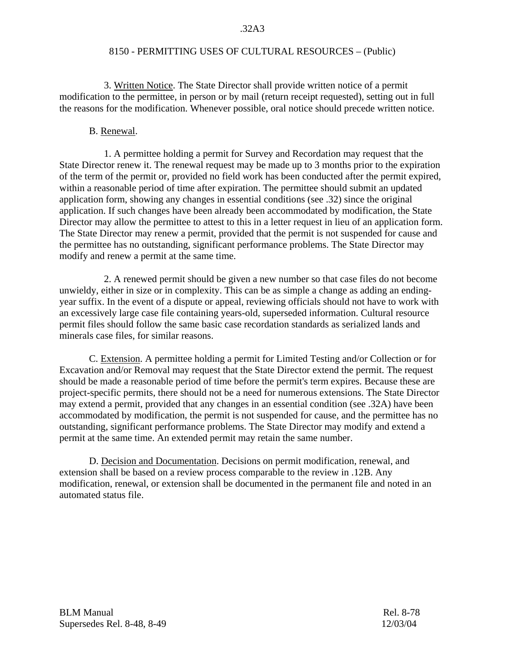3. Written Notice. The State Director shall provide written notice of a permit modification to the permittee, in person or by mail (return receipt requested), setting out in full the reasons for the modification. Whenever possible, oral notice should precede written notice.

## B. Renewal.

1. A permittee holding a permit for Survey and Recordation may request that the State Director renew it. The renewal request may be made up to 3 months prior to the expiration of the term of the permit or, provided no field work has been conducted after the permit expired, within a reasonable period of time after expiration. The permittee should submit an updated application form, showing any changes in essential conditions (see .32) since the original application. If such changes have been already been accommodated by modification, the State Director may allow the permittee to attest to this in a letter request in lieu of an application form. The State Director may renew a permit, provided that the permit is not suspended for cause and the permittee has no outstanding, significant performance problems. The State Director may modify and renew a permit at the same time.

2. A renewed permit should be given a new number so that case files do not become unwieldy, either in size or in complexity. This can be as simple a change as adding an endingyear suffix. In the event of a dispute or appeal, reviewing officials should not have to work with an excessively large case file containing years-old, superseded information. Cultural resource permit files should follow the same basic case recordation standards as serialized lands and minerals case files, for similar reasons.

 C. Extension. A permittee holding a permit for Limited Testing and/or Collection or for Excavation and/or Removal may request that the State Director extend the permit. The request should be made a reasonable period of time before the permit's term expires. Because these are project-specific permits, there should not be a need for numerous extensions. The State Director may extend a permit, provided that any changes in an essential condition (see .32A) have been accommodated by modification, the permit is not suspended for cause, and the permittee has no outstanding, significant performance problems. The State Director may modify and extend a permit at the same time. An extended permit may retain the same number.

 D. Decision and Documentation. Decisions on permit modification, renewal, and extension shall be based on a review process comparable to the review in .12B. Any modification, renewal, or extension shall be documented in the permanent file and noted in an automated status file.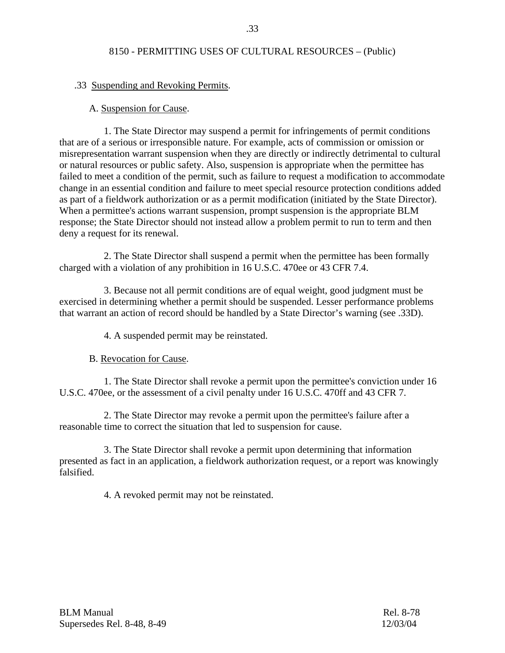## .33 Suspending and Revoking Permits.

#### A. Suspension for Cause.

1. The State Director may suspend a permit for infringements of permit conditions that are of a serious or irresponsible nature. For example, acts of commission or omission or misrepresentation warrant suspension when they are directly or indirectly detrimental to cultural or natural resources or public safety. Also, suspension is appropriate when the permittee has failed to meet a condition of the permit, such as failure to request a modification to accommodate change in an essential condition and failure to meet special resource protection conditions added as part of a fieldwork authorization or as a permit modification (initiated by the State Director). When a permittee's actions warrant suspension, prompt suspension is the appropriate BLM response; the State Director should not instead allow a problem permit to run to term and then deny a request for its renewal.

2. The State Director shall suspend a permit when the permittee has been formally charged with a violation of any prohibition in 16 U.S.C. 470ee or 43 CFR 7.4.

3. Because not all permit conditions are of equal weight, good judgment must be exercised in determining whether a permit should be suspended. Lesser performance problems that warrant an action of record should be handled by a State Director's warning (see .33D).

4. A suspended permit may be reinstated.

B. Revocation for Cause.

1. The State Director shall revoke a permit upon the permittee's conviction under 16 U.S.C. 470ee, or the assessment of a civil penalty under 16 U.S.C. 470ff and 43 CFR 7.

2. The State Director may revoke a permit upon the permittee's failure after a reasonable time to correct the situation that led to suspension for cause.

3. The State Director shall revoke a permit upon determining that information presented as fact in an application, a fieldwork authorization request, or a report was knowingly falsified.

4. A revoked permit may not be reinstated.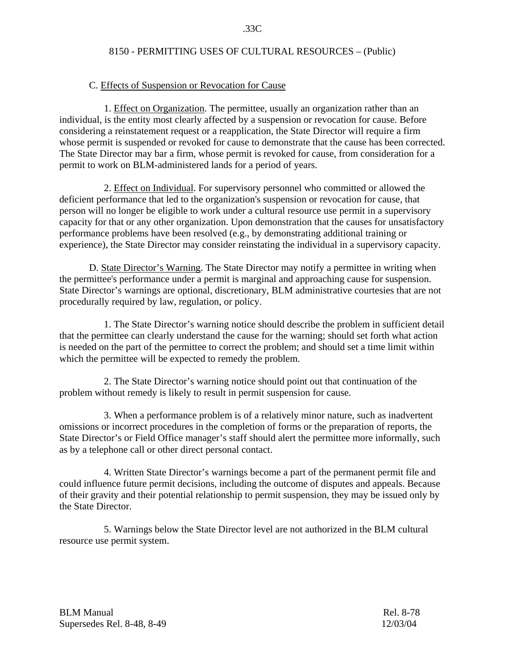#### C. Effects of Suspension or Revocation for Cause

 1. Effect on Organization. The permittee, usually an organization rather than an individual, is the entity most clearly affected by a suspension or revocation for cause. Before considering a reinstatement request or a reapplication, the State Director will require a firm whose permit is suspended or revoked for cause to demonstrate that the cause has been corrected. The State Director may bar a firm, whose permit is revoked for cause, from consideration for a permit to work on BLM-administered lands for a period of years.

 2. Effect on Individual. For supervisory personnel who committed or allowed the deficient performance that led to the organization's suspension or revocation for cause, that person will no longer be eligible to work under a cultural resource use permit in a supervisory capacity for that or any other organization. Upon demonstration that the causes for unsatisfactory performance problems have been resolved (e.g., by demonstrating additional training or experience), the State Director may consider reinstating the individual in a supervisory capacity.

 D. State Director's Warning. The State Director may notify a permittee in writing when the permittee's performance under a permit is marginal and approaching cause for suspension. State Director's warnings are optional, discretionary, BLM administrative courtesies that are not procedurally required by law, regulation, or policy.

1. The State Director's warning notice should describe the problem in sufficient detail that the permittee can clearly understand the cause for the warning; should set forth what action is needed on the part of the permittee to correct the problem; and should set a time limit within which the permittee will be expected to remedy the problem.

 2. The State Director's warning notice should point out that continuation of the problem without remedy is likely to result in permit suspension for cause.

3. When a performance problem is of a relatively minor nature, such as inadvertent omissions or incorrect procedures in the completion of forms or the preparation of reports, the State Director's or Field Office manager's staff should alert the permittee more informally, such as by a telephone call or other direct personal contact.

4. Written State Director's warnings become a part of the permanent permit file and could influence future permit decisions, including the outcome of disputes and appeals. Because of their gravity and their potential relationship to permit suspension, they may be issued only by the State Director.

5. Warnings below the State Director level are not authorized in the BLM cultural resource use permit system.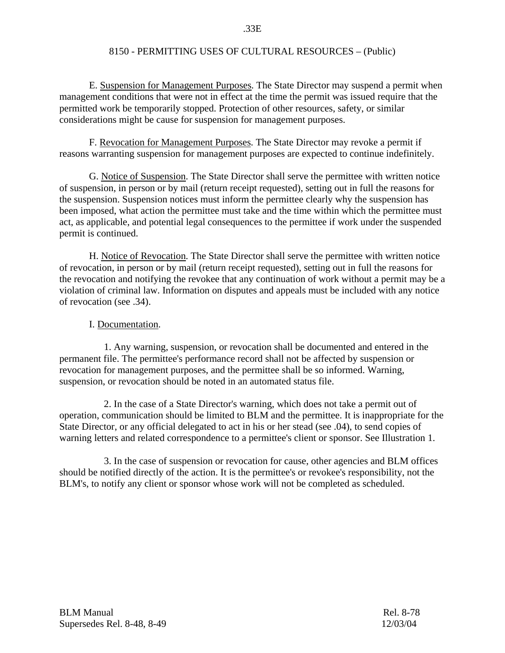E. Suspension for Management Purposes. The State Director may suspend a permit when management conditions that were not in effect at the time the permit was issued require that the permitted work be temporarily stopped. Protection of other resources, safety, or similar considerations might be cause for suspension for management purposes.

 F. Revocation for Management Purposes. The State Director may revoke a permit if reasons warranting suspension for management purposes are expected to continue indefinitely.

 G. Notice of Suspension. The State Director shall serve the permittee with written notice of suspension, in person or by mail (return receipt requested), setting out in full the reasons for the suspension. Suspension notices must inform the permittee clearly why the suspension has been imposed, what action the permittee must take and the time within which the permittee must act, as applicable, and potential legal consequences to the permittee if work under the suspended permit is continued.

 H. Notice of Revocation. The State Director shall serve the permittee with written notice of revocation, in person or by mail (return receipt requested), setting out in full the reasons for the revocation and notifying the revokee that any continuation of work without a permit may be a violation of criminal law. Information on disputes and appeals must be included with any notice of revocation (see .34).

#### I. Documentation.

1. Any warning, suspension, or revocation shall be documented and entered in the permanent file. The permittee's performance record shall not be affected by suspension or revocation for management purposes, and the permittee shall be so informed. Warning, suspension, or revocation should be noted in an automated status file.

2. In the case of a State Director's warning, which does not take a permit out of operation, communication should be limited to BLM and the permittee. It is inappropriate for the State Director, or any official delegated to act in his or her stead (see .04), to send copies of warning letters and related correspondence to a permittee's client or sponsor. See Illustration 1.

3. In the case of suspension or revocation for cause, other agencies and BLM offices should be notified directly of the action. It is the permittee's or revokee's responsibility, not the BLM's, to notify any client or sponsor whose work will not be completed as scheduled.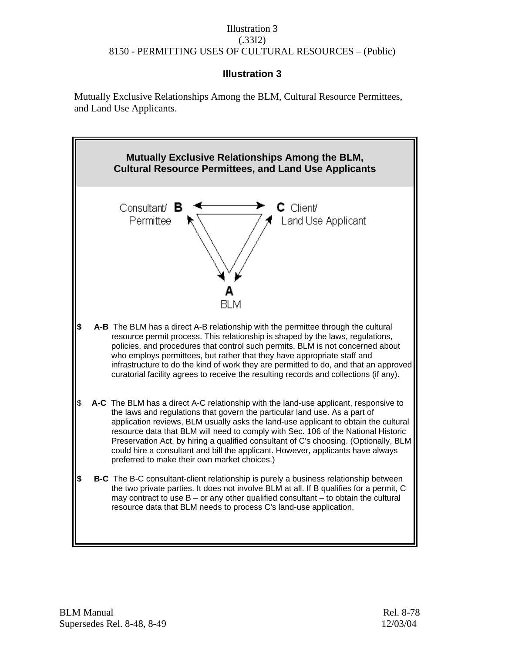## Illustration 3 (.33I2) 8150 - PERMITTING USES OF CULTURAL RESOURCES – (Public)

# **Illustration 3**

Mutually Exclusive Relationships Among the BLM, Cultural Resource Permittees, and Land Use Applicants.

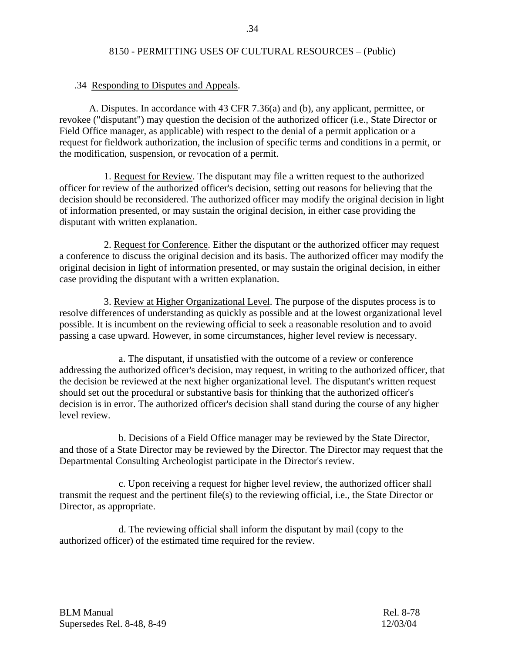### .34 Responding to Disputes and Appeals.

 A. Disputes. In accordance with 43 CFR 7.36(a) and (b), any applicant, permittee, or revokee ("disputant") may question the decision of the authorized officer (i.e., State Director or Field Office manager, as applicable) with respect to the denial of a permit application or a request for fieldwork authorization, the inclusion of specific terms and conditions in a permit, or the modification, suspension, or revocation of a permit.

 1. Request for Review. The disputant may file a written request to the authorized officer for review of the authorized officer's decision, setting out reasons for believing that the decision should be reconsidered. The authorized officer may modify the original decision in light of information presented, or may sustain the original decision, in either case providing the disputant with written explanation.

 2. Request for Conference. Either the disputant or the authorized officer may request a conference to discuss the original decision and its basis. The authorized officer may modify the original decision in light of information presented, or may sustain the original decision, in either case providing the disputant with a written explanation.

 3. Review at Higher Organizational Level. The purpose of the disputes process is to resolve differences of understanding as quickly as possible and at the lowest organizational level possible. It is incumbent on the reviewing official to seek a reasonable resolution and to avoid passing a case upward. However, in some circumstances, higher level review is necessary.

a. The disputant, if unsatisfied with the outcome of a review or conference addressing the authorized officer's decision, may request, in writing to the authorized officer, that the decision be reviewed at the next higher organizational level. The disputant's written request should set out the procedural or substantive basis for thinking that the authorized officer's decision is in error. The authorized officer's decision shall stand during the course of any higher level review.

b. Decisions of a Field Office manager may be reviewed by the State Director, and those of a State Director may be reviewed by the Director. The Director may request that the Departmental Consulting Archeologist participate in the Director's review.

c. Upon receiving a request for higher level review, the authorized officer shall transmit the request and the pertinent file(s) to the reviewing official, i.e., the State Director or Director, as appropriate.

d. The reviewing official shall inform the disputant by mail (copy to the authorized officer) of the estimated time required for the review.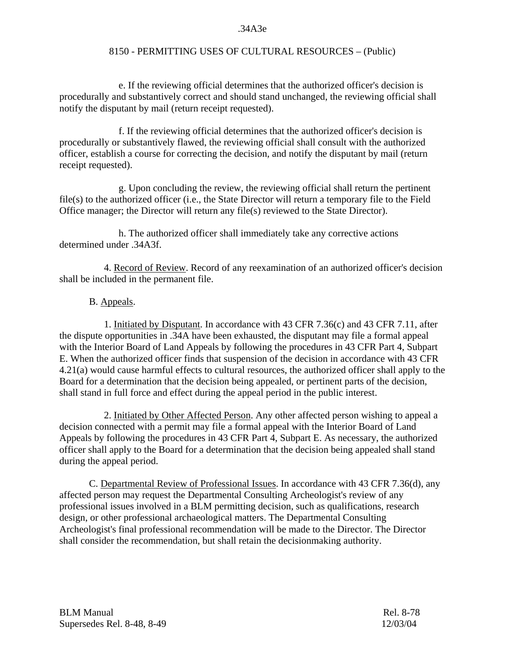#### .34A3e

## 8150 - PERMITTING USES OF CULTURAL RESOURCES – (Public)

e. If the reviewing official determines that the authorized officer's decision is procedurally and substantively correct and should stand unchanged, the reviewing official shall notify the disputant by mail (return receipt requested).

f. If the reviewing official determines that the authorized officer's decision is procedurally or substantively flawed, the reviewing official shall consult with the authorized officer, establish a course for correcting the decision, and notify the disputant by mail (return receipt requested).

g. Upon concluding the review, the reviewing official shall return the pertinent file(s) to the authorized officer (i.e., the State Director will return a temporary file to the Field Office manager; the Director will return any file(s) reviewed to the State Director).

h. The authorized officer shall immediately take any corrective actions determined under .34A3f.

 4. Record of Review. Record of any reexamination of an authorized officer's decision shall be included in the permanent file.

### B. Appeals.

 1. Initiated by Disputant. In accordance with 43 CFR 7.36(c) and 43 CFR 7.11, after the dispute opportunities in .34A have been exhausted, the disputant may file a formal appeal with the Interior Board of Land Appeals by following the procedures in 43 CFR Part 4, Subpart E. When the authorized officer finds that suspension of the decision in accordance with 43 CFR 4.21(a) would cause harmful effects to cultural resources, the authorized officer shall apply to the Board for a determination that the decision being appealed, or pertinent parts of the decision, shall stand in full force and effect during the appeal period in the public interest.

2. Initiated by Other Affected Person. Any other affected person wishing to appeal a decision connected with a permit may file a formal appeal with the Interior Board of Land Appeals by following the procedures in 43 CFR Part 4, Subpart E. As necessary, the authorized officer shall apply to the Board for a determination that the decision being appealed shall stand during the appeal period.

 C. Departmental Review of Professional Issues. In accordance with 43 CFR 7.36(d), any affected person may request the Departmental Consulting Archeologist's review of any professional issues involved in a BLM permitting decision, such as qualifications, research design, or other professional archaeological matters. The Departmental Consulting Archeologist's final professional recommendation will be made to the Director. The Director shall consider the recommendation, but shall retain the decisionmaking authority.

BLM Manual Rel. 8-78 Supersedes Rel. 8-48, 8-49 12/03/04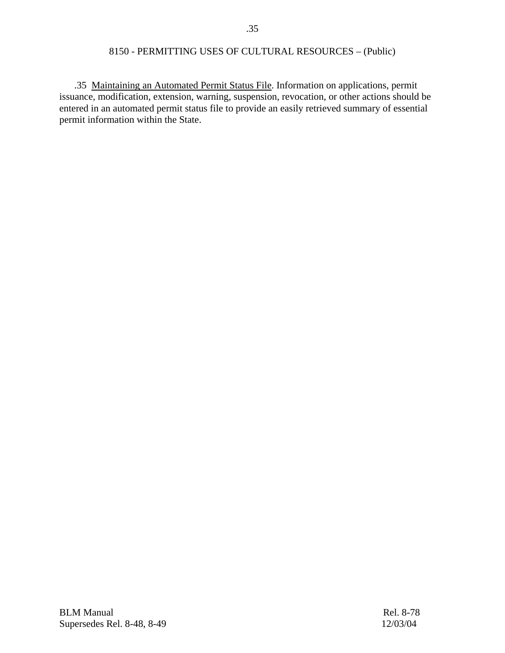.35 Maintaining an Automated Permit Status File. Information on applications, permit issuance, modification, extension, warning, suspension, revocation, or other actions should be entered in an automated permit status file to provide an easily retrieved summary of essential permit information within the State.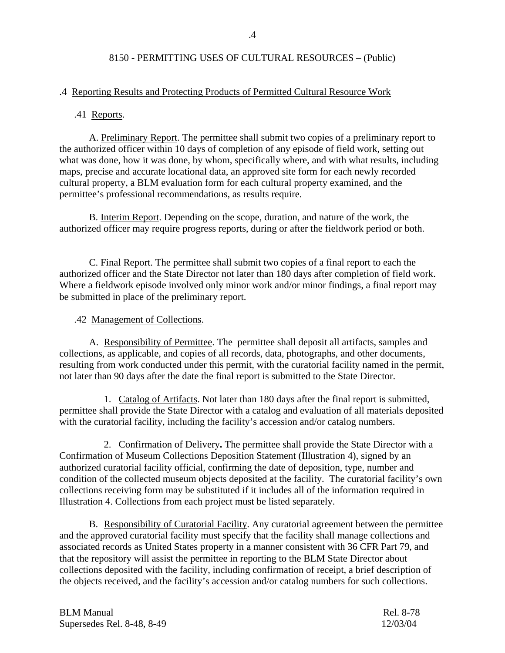### .4 Reporting Results and Protecting Products of Permitted Cultural Resource Work

#### .41 Reports.

 A. Preliminary Report. The permittee shall submit two copies of a preliminary report to the authorized officer within 10 days of completion of any episode of field work, setting out what was done, how it was done, by whom, specifically where, and with what results, including maps, precise and accurate locational data, an approved site form for each newly recorded cultural property, a BLM evaluation form for each cultural property examined, and the permittee's professional recommendations, as results require.

B. Interim Report. Depending on the scope, duration, and nature of the work, the authorized officer may require progress reports, during or after the fieldwork period or both.

 C. Final Report. The permittee shall submit two copies of a final report to each the authorized officer and the State Director not later than 180 days after completion of field work. Where a fieldwork episode involved only minor work and/or minor findings, a final report may be submitted in place of the preliminary report.

### .42 Management of Collections.

A. Responsibility of Permittee. The permittee shall deposit all artifacts, samples and collections, as applicable, and copies of all records, data, photographs, and other documents, resulting from work conducted under this permit, with the curatorial facility named in the permit, not later than 90 days after the date the final report is submitted to the State Director.

1. Catalog of Artifacts. Not later than 180 days after the final report is submitted, permittee shall provide the State Director with a catalog and evaluation of all materials deposited with the curatorial facility, including the facility's accession and/or catalog numbers.

2. Confirmation of Delivery**.** The permittee shall provide the State Director with a Confirmation of Museum Collections Deposition Statement (Illustration 4), signed by an authorized curatorial facility official, confirming the date of deposition, type, number and condition of the collected museum objects deposited at the facility. The curatorial facility's own collections receiving form may be substituted if it includes all of the information required in Illustration 4. Collections from each project must be listed separately.

B. Responsibility of Curatorial Facility. Any curatorial agreement between the permittee and the approved curatorial facility must specify that the facility shall manage collections and associated records as United States property in a manner consistent with 36 CFR Part 79, and that the repository will assist the permittee in reporting to the BLM State Director about collections deposited with the facility, including confirmation of receipt, a brief description of the objects received, and the facility's accession and/or catalog numbers for such collections.

| <b>BLM Manual</b>          | Rel. 8-78 |
|----------------------------|-----------|
| Supersedes Rel. 8-48, 8-49 | 12/03/04  |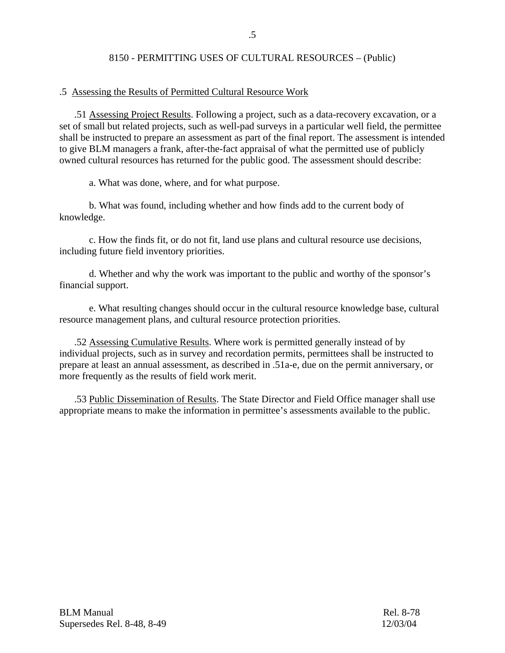#### .5 Assessing the Results of Permitted Cultural Resource Work

 .51 Assessing Project Results. Following a project, such as a data-recovery excavation, or a set of small but related projects, such as well-pad surveys in a particular well field, the permittee shall be instructed to prepare an assessment as part of the final report. The assessment is intended to give BLM managers a frank, after-the-fact appraisal of what the permitted use of publicly owned cultural resources has returned for the public good. The assessment should describe:

a. What was done, where, and for what purpose.

 b. What was found, including whether and how finds add to the current body of knowledge.

 c. How the finds fit, or do not fit, land use plans and cultural resource use decisions, including future field inventory priorities.

 d. Whether and why the work was important to the public and worthy of the sponsor's financial support.

 e. What resulting changes should occur in the cultural resource knowledge base, cultural resource management plans, and cultural resource protection priorities.

 .52 Assessing Cumulative Results. Where work is permitted generally instead of by individual projects, such as in survey and recordation permits, permittees shall be instructed to prepare at least an annual assessment, as described in .51a-e, due on the permit anniversary, or more frequently as the results of field work merit.

 .53 Public Dissemination of Results. The State Director and Field Office manager shall use appropriate means to make the information in permittee's assessments available to the public.